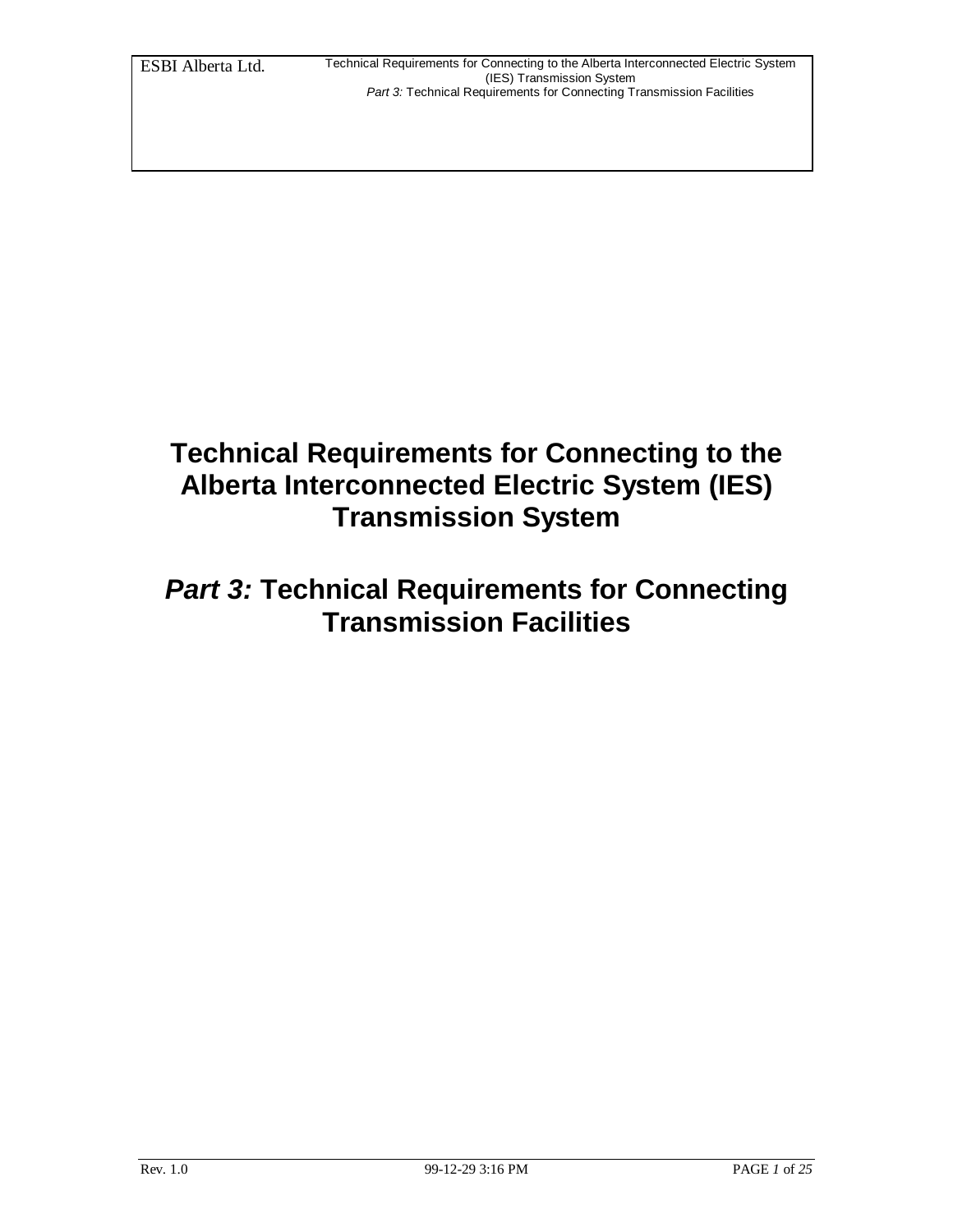## **Technical Requirements for Connecting to the Alberta Interconnected Electric System (IES) Transmission System**

## *Part 3:* **Technical Requirements for Connecting Transmission Facilities**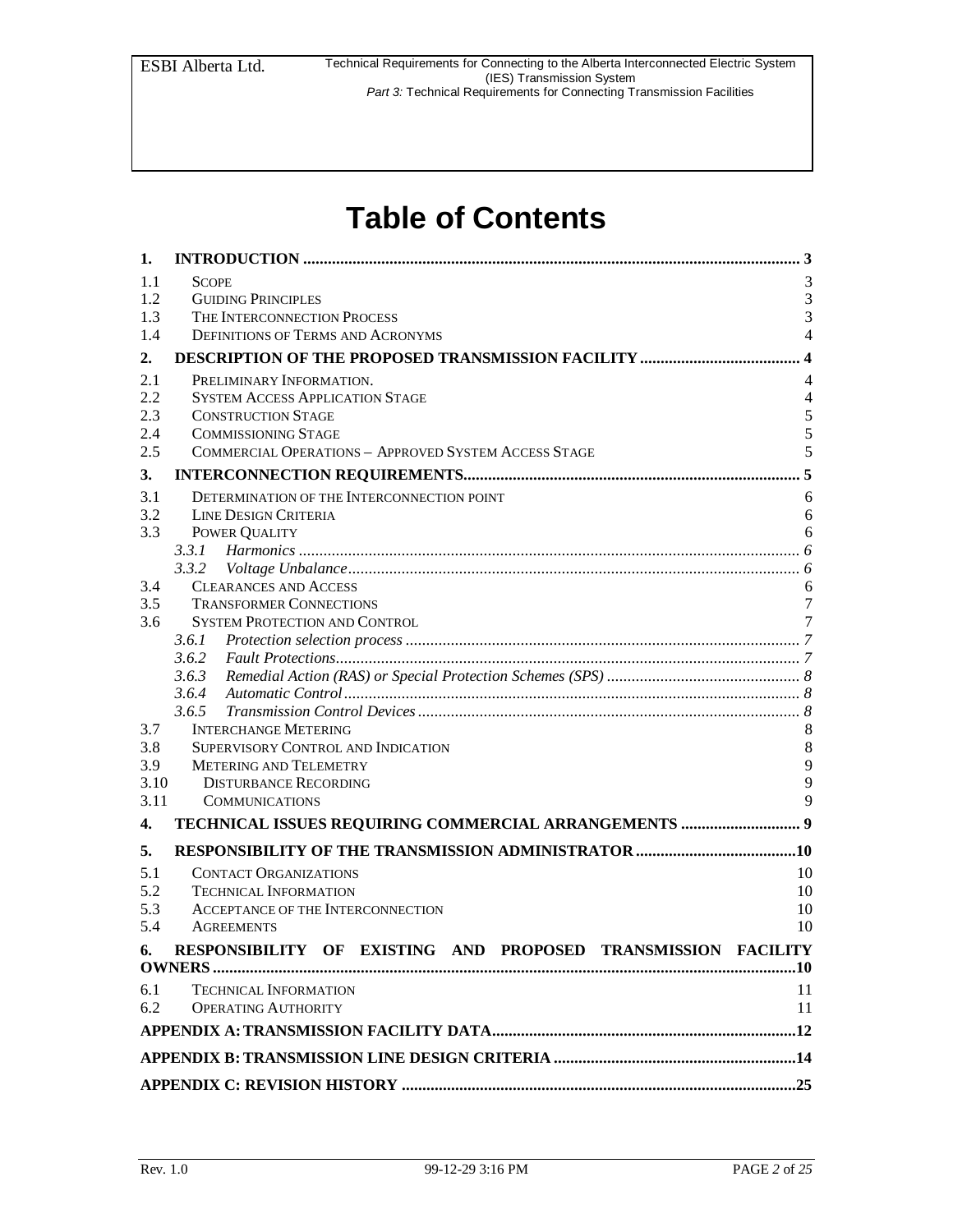# **Table of Contents**

| 1.         |                                                                  |                |
|------------|------------------------------------------------------------------|----------------|
| 1.1        | <b>SCOPE</b>                                                     | 3              |
| 1.2        | <b>GUIDING PRINCIPLES</b>                                        | $\mathfrak{Z}$ |
| 1.3        | THE INTERCONNECTION PROCESS                                      | 3              |
| 1.4        | <b>DEFINITIONS OF TERMS AND ACRONYMS</b>                         | $\overline{4}$ |
| 2.         |                                                                  |                |
| 2.1        | PRELIMINARY INFORMATION.                                         | 4              |
| 2.2        | <b>SYSTEM ACCESS APPLICATION STAGE</b>                           | $\overline{4}$ |
| 2.3        | <b>CONSTRUCTION STAGE</b>                                        | 5              |
| 2.4        | <b>COMMISSIONING STAGE</b>                                       | 5              |
| 2.5        | <b>COMMERCIAL OPERATIONS - APPROVED SYSTEM ACCESS STAGE</b>      | 5              |
| 3.         |                                                                  |                |
|            |                                                                  |                |
| 3.1        | DETERMINATION OF THE INTERCONNECTION POINT                       | 6              |
| 3.2<br>3.3 | <b>LINE DESIGN CRITERIA</b>                                      | 6<br>6         |
|            | POWER QUALITY                                                    |                |
|            | 3.3.2                                                            |                |
| 3.4        | <b>CLEARANCES AND ACCESS</b>                                     | 6              |
| 3.5        | <b>TRANSFORMER CONNECTIONS</b>                                   | 7              |
| 3.6        | <b>SYSTEM PROTECTION AND CONTROL</b>                             | 7              |
|            | 3.6.1                                                            |                |
|            | 3.6.2                                                            |                |
|            | 3.6.3                                                            |                |
|            | 3.6.4                                                            |                |
|            | 3.6.5                                                            |                |
| 3.7        | <b>INTERCHANGE METERING</b>                                      | 8              |
| 3.8        | SUPERVISORY CONTROL AND INDICATION                               | $\,8\,$        |
| 3.9        | <b>METERING AND TELEMETRY</b>                                    | 9              |
| 3.10       | <b>DISTURBANCE RECORDING</b>                                     | 9              |
| 3.11       | <b>COMMUNICATIONS</b>                                            | $\mathbf{Q}$   |
| 4.         | TECHNICAL ISSUES REQUIRING COMMERCIAL ARRANGEMENTS  9            |                |
| 5.         |                                                                  |                |
| 5.1        | <b>CONTACT ORGANIZATIONS</b>                                     | 10             |
| 5.2        | <b>TECHNICAL INFORMATION</b>                                     | 10             |
| 5.3        | ACCEPTANCE OF THE INTERCONNECTION                                | 10             |
| 5.4        | <b>AGREEMENTS</b>                                                | 10             |
|            | 6. RESPONSIBILITY OF EXISTING AND PROPOSED TRANSMISSION FACILITY |                |
|            |                                                                  |                |
|            |                                                                  |                |
| 6.1        | <b>TECHNICAL INFORMATION</b>                                     | 11             |
| 6.2        | <b>OPERATING AUTHORITY</b>                                       | 11             |
|            |                                                                  |                |
|            |                                                                  |                |
|            |                                                                  |                |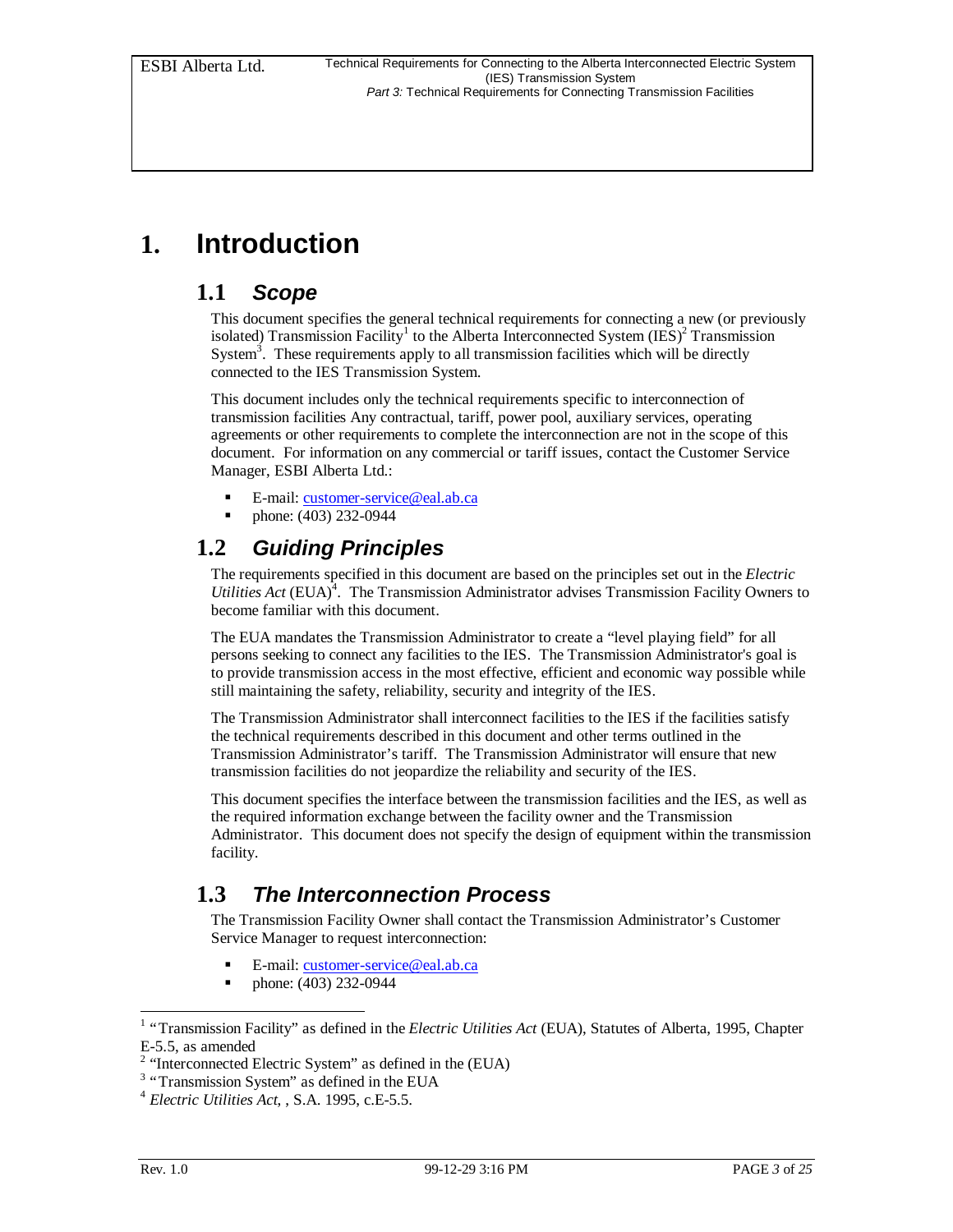## **1. Introduction**

### **1.1** *Scope*

This document specifies the general technical requirements for connecting a new (or previously isolated) Transmission Facility<sup>1</sup> to the Alberta Interconnected System (IES)<sup>2</sup> Transmission System<sup>3</sup>. These requirements apply to all transmission facilities which will be directly connected to the IES Transmission System.

This document includes only the technical requirements specific to interconnection of transmission facilities Any contractual, tariff, power pool, auxiliary services, operating agreements or other requirements to complete the interconnection are not in the scope of this document. For information on any commercial or tariff issues, contact the Customer Service Manager, ESBI Alberta Ltd.:

- ß E-mail: customer-service@eal.ab.ca
- ß phone: (403) 232-0944

### **1.2** *Guiding Principles*

The requirements specified in this document are based on the principles set out in the *Electric* Utilities Act (EUA)<sup>4</sup>. The Transmission Administrator advises Transmission Facility Owners to become familiar with this document.

The EUA mandates the Transmission Administrator to create a "level playing field" for all persons seeking to connect any facilities to the IES. The Transmission Administrator's goal is to provide transmission access in the most effective, efficient and economic way possible while still maintaining the safety, reliability, security and integrity of the IES.

The Transmission Administrator shall interconnect facilities to the IES if the facilities satisfy the technical requirements described in this document and other terms outlined in the Transmission Administrator's tariff. The Transmission Administrator will ensure that new transmission facilities do not jeopardize the reliability and security of the IES.

This document specifies the interface between the transmission facilities and the IES, as well as the required information exchange between the facility owner and the Transmission Administrator. This document does not specify the design of equipment within the transmission facility.

### **1.3** *The Interconnection Process*

The Transmission Facility Owner shall contact the Transmission Administrator's Customer Service Manager to request interconnection:

- E-mail: customer-service@eal.ab.ca
- ß phone: (403) 232-0944

 1 "Transmission Facility" as defined in the *Electric Utilities Act* (EUA), Statutes of Alberta, 1995, Chapter E-5.5, as amended

<sup>&</sup>lt;sup>2</sup> "Interconnected Electric System" as defined in the (EUA)

<sup>&</sup>lt;sup>3</sup> "Transmission System" as defined in the EUA

<sup>4</sup> *Electric Utilities Act*, , S.A. 1995, c.E-5.5.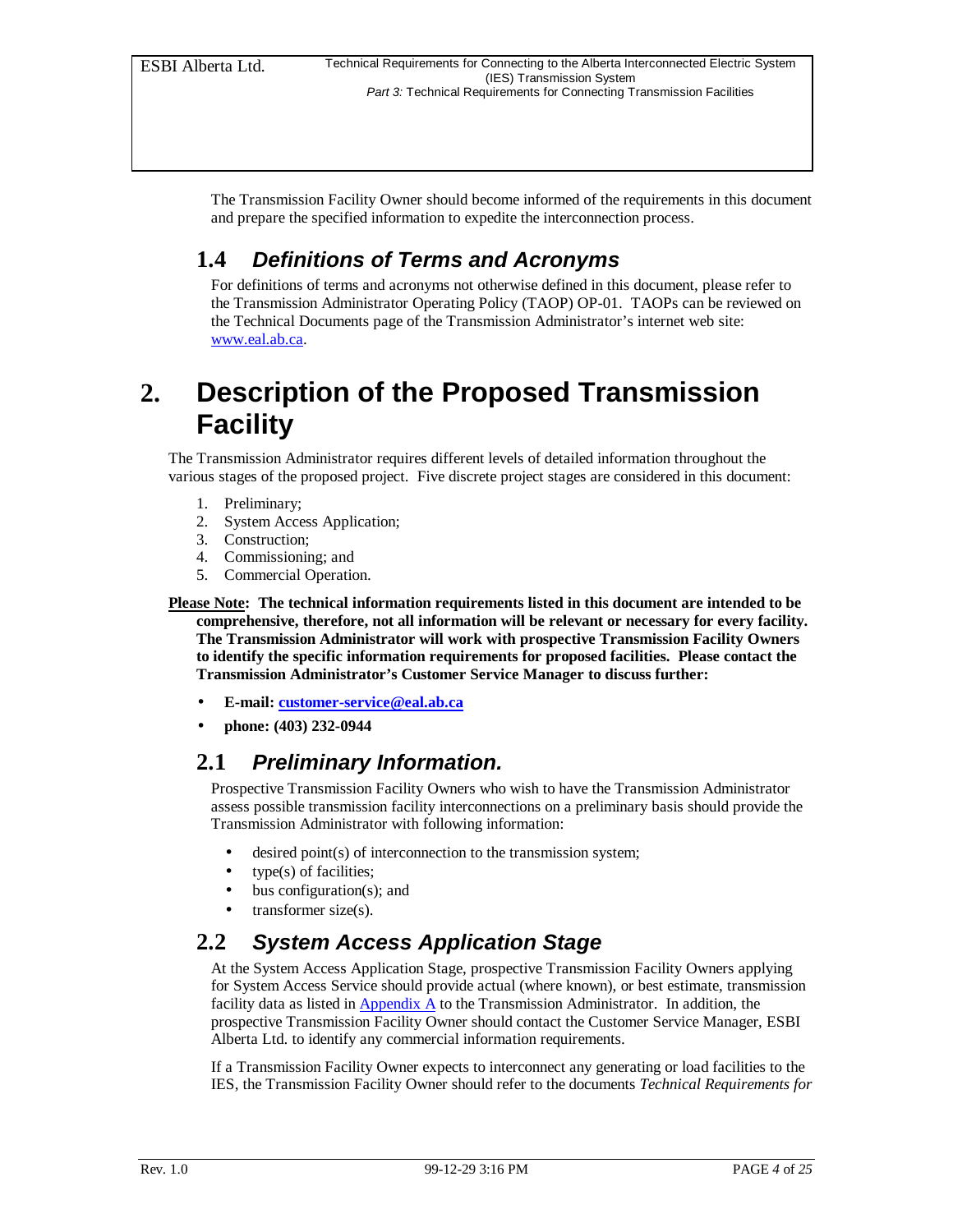The Transmission Facility Owner should become informed of the requirements in this document and prepare the specified information to expedite the interconnection process.

### **1.4** *Definitions of Terms and Acronyms*

For definitions of terms and acronyms not otherwise defined in this document, please refer to the Transmission Administrator Operating Policy (TAOP) OP-01. TAOPs can be reviewed on the Technical Documents page of the Transmission Administrator's internet web site: www.eal.ab.ca.

## **2. Description of the Proposed Transmission Facility**

The Transmission Administrator requires different levels of detailed information throughout the various stages of the proposed project. Five discrete project stages are considered in this document:

- 1. Preliminary;
- 2. System Access Application;
- 3. Construction;
- 4. Commissioning; and
- 5. Commercial Operation.

**Please Note: The technical information requirements listed in this document are intended to be comprehensive, therefore, not all information will be relevant or necessary for every facility. The Transmission Administrator will work with prospective Transmission Facility Owners to identify the specific information requirements for proposed facilities. Please contact the Transmission Administrator's Customer Service Manager to discuss further:**

- **E-mail: customer-service@eal.ab.ca**
- **phone: (403) 232-0944**

### **2.1** *Preliminary Information.*

Prospective Transmission Facility Owners who wish to have the Transmission Administrator assess possible transmission facility interconnections on a preliminary basis should provide the Transmission Administrator with following information:

- desired point(s) of interconnection to the transmission system;
- type(s) of facilities;
- bus configuration(s); and
- transformer size(s).

### **2.2** *System Access Application Stage*

At the System Access Application Stage, prospective Transmission Facility Owners applying for System Access Service should provide actual (where known), or best estimate, transmission facility data as listed in  $\frac{Appendix A}{}$  to the Transmission Administrator. In addition, the prospective Transmission Facility Owner should contact the Customer Service Manager, ESBI Alberta Ltd. to identify any commercial information requirements.

If a Transmission Facility Owner expects to interconnect any generating or load facilities to the IES, the Transmission Facility Owner should refer to the documents *Technical Requirements for*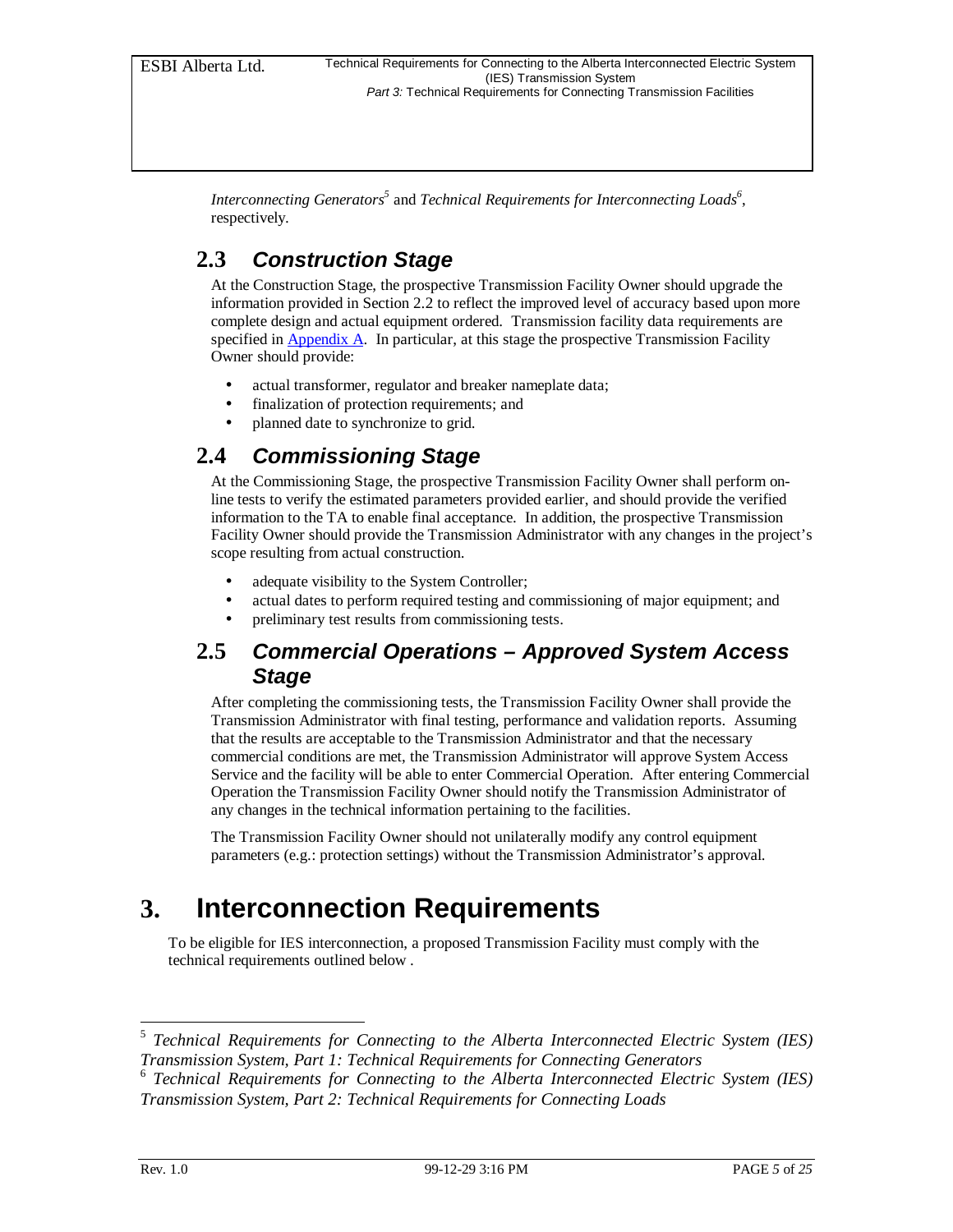Interconnecting Generators<sup>5</sup> and *Technical Requirements for Interconnecting Loads*<sup>6</sup>, respectively*.*

### **2.3** *Construction Stage*

At the Construction Stage, the prospective Transmission Facility Owner should upgrade the information provided in Section 2.2 to reflect the improved level of accuracy based upon more complete design and actual equipment ordered. Transmission facility data requirements are specified in Appendix A. In particular, at this stage the prospective Transmission Facility Owner should provide:

- actual transformer, regulator and breaker nameplate data;
- finalization of protection requirements; and
- planned date to synchronize to grid.

### **2.4** *Commissioning Stage*

At the Commissioning Stage, the prospective Transmission Facility Owner shall perform online tests to verify the estimated parameters provided earlier, and should provide the verified information to the TA to enable final acceptance. In addition, the prospective Transmission Facility Owner should provide the Transmission Administrator with any changes in the project's scope resulting from actual construction.

- adequate visibility to the System Controller;
- actual dates to perform required testing and commissioning of major equipment; and
- preliminary test results from commissioning tests.

### **2.5** *Commercial Operations – Approved System Access Stage*

After completing the commissioning tests, the Transmission Facility Owner shall provide the Transmission Administrator with final testing, performance and validation reports. Assuming that the results are acceptable to the Transmission Administrator and that the necessary commercial conditions are met, the Transmission Administrator will approve System Access Service and the facility will be able to enter Commercial Operation. After entering Commercial Operation the Transmission Facility Owner should notify the Transmission Administrator of any changes in the technical information pertaining to the facilities.

The Transmission Facility Owner should not unilaterally modify any control equipment parameters (e.g.: protection settings) without the Transmission Administrator's approval.

## **3. Interconnection Requirements**

To be eligible for IES interconnection, a proposed Transmission Facility must comply with the technical requirements outlined below .

 5 *Technical Requirements for Connecting to the Alberta Interconnected Electric System (IES) Transmission System, Part 1: Technical Requirements for Connecting Generators*

<sup>6</sup> *Technical Requirements for Connecting to the Alberta Interconnected Electric System (IES) Transmission System, Part 2: Technical Requirements for Connecting Loads*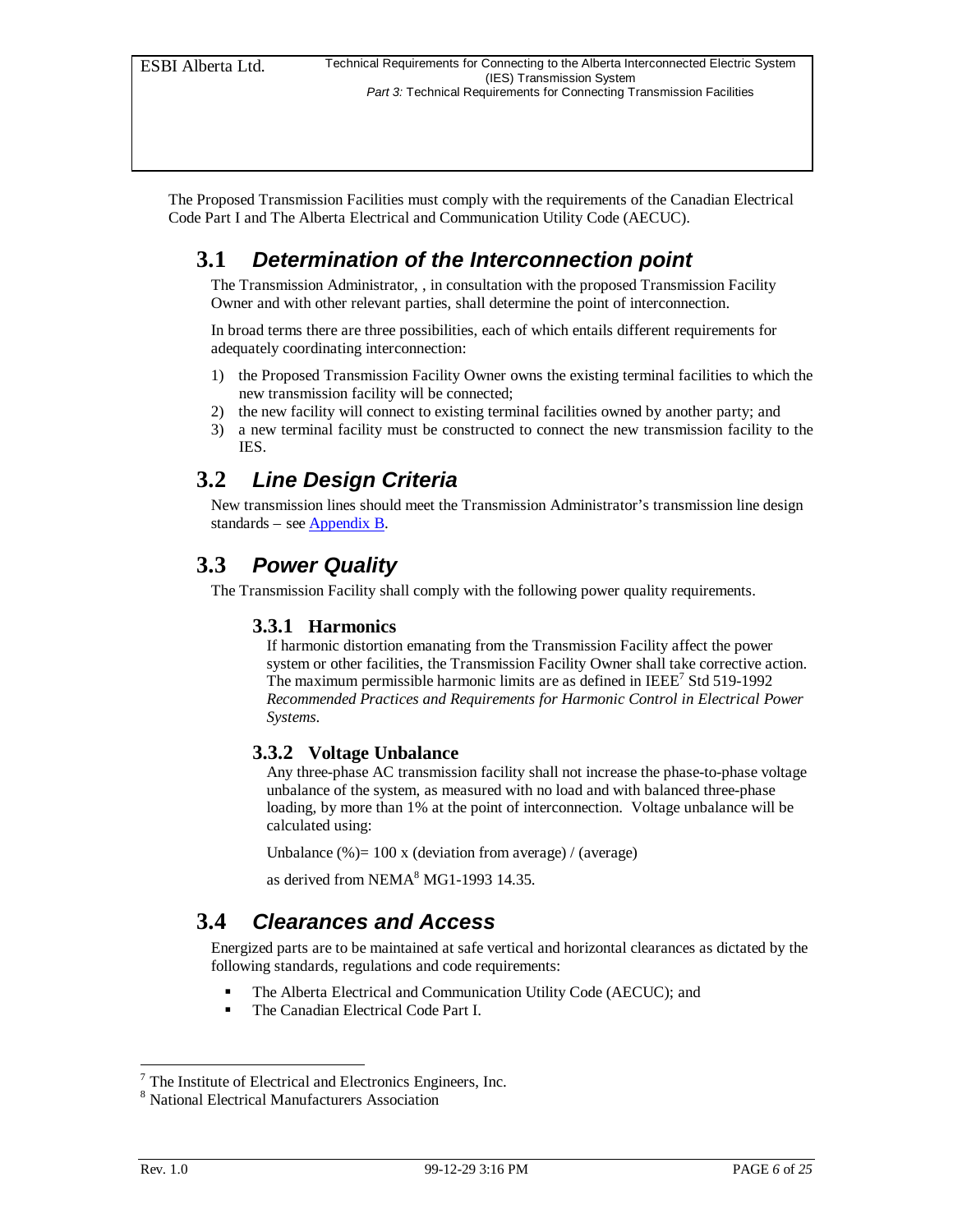The Proposed Transmission Facilities must comply with the requirements of the Canadian Electrical Code Part I and The Alberta Electrical and Communication Utility Code (AECUC).

### **3.1** *Determination of the Interconnection point*

The Transmission Administrator, , in consultation with the proposed Transmission Facility Owner and with other relevant parties, shall determine the point of interconnection.

In broad terms there are three possibilities, each of which entails different requirements for adequately coordinating interconnection:

- 1) the Proposed Transmission Facility Owner owns the existing terminal facilities to which the new transmission facility will be connected;
- 2) the new facility will connect to existing terminal facilities owned by another party; and
- 3) a new terminal facility must be constructed to connect the new transmission facility to the IES.

### **3.2** *Line Design Criteria*

New transmission lines should meet the Transmission Administrator's transmission line design standards – see Appendix B.

### **3.3** *Power Quality*

The Transmission Facility shall comply with the following power quality requirements.

#### **3.3.1 Harmonics**

If harmonic distortion emanating from the Transmission Facility affect the power system or other facilities, the Transmission Facility Owner shall take corrective action. The maximum permissible harmonic limits are as defined in IEEE<sup>7</sup> Std 519-1992 *Recommended Practices and Requirements for Harmonic Control in Electrical Power Systems*.

#### **3.3.2 Voltage Unbalance**

Any three-phase AC transmission facility shall not increase the phase-to-phase voltage unbalance of the system, as measured with no load and with balanced three-phase loading, by more than 1% at the point of interconnection. Voltage unbalance will be calculated using:

Unbalance  $% = 100 \times$  (deviation from average) / (average)

as derived from NEMA<sup>8</sup> MG1-1993 14.35.

#### **3.4** *Clearances and Access*

Energized parts are to be maintained at safe vertical and horizontal clearances as dictated by the following standards, regulations and code requirements:

- The Alberta Electrical and Communication Utility Code (AECUC); and
- ß The Canadian Electrical Code Part I.

-

 $<sup>7</sup>$  The Institute of Electrical and Electronics Engineers, Inc.</sup>

<sup>8</sup> National Electrical Manufacturers Association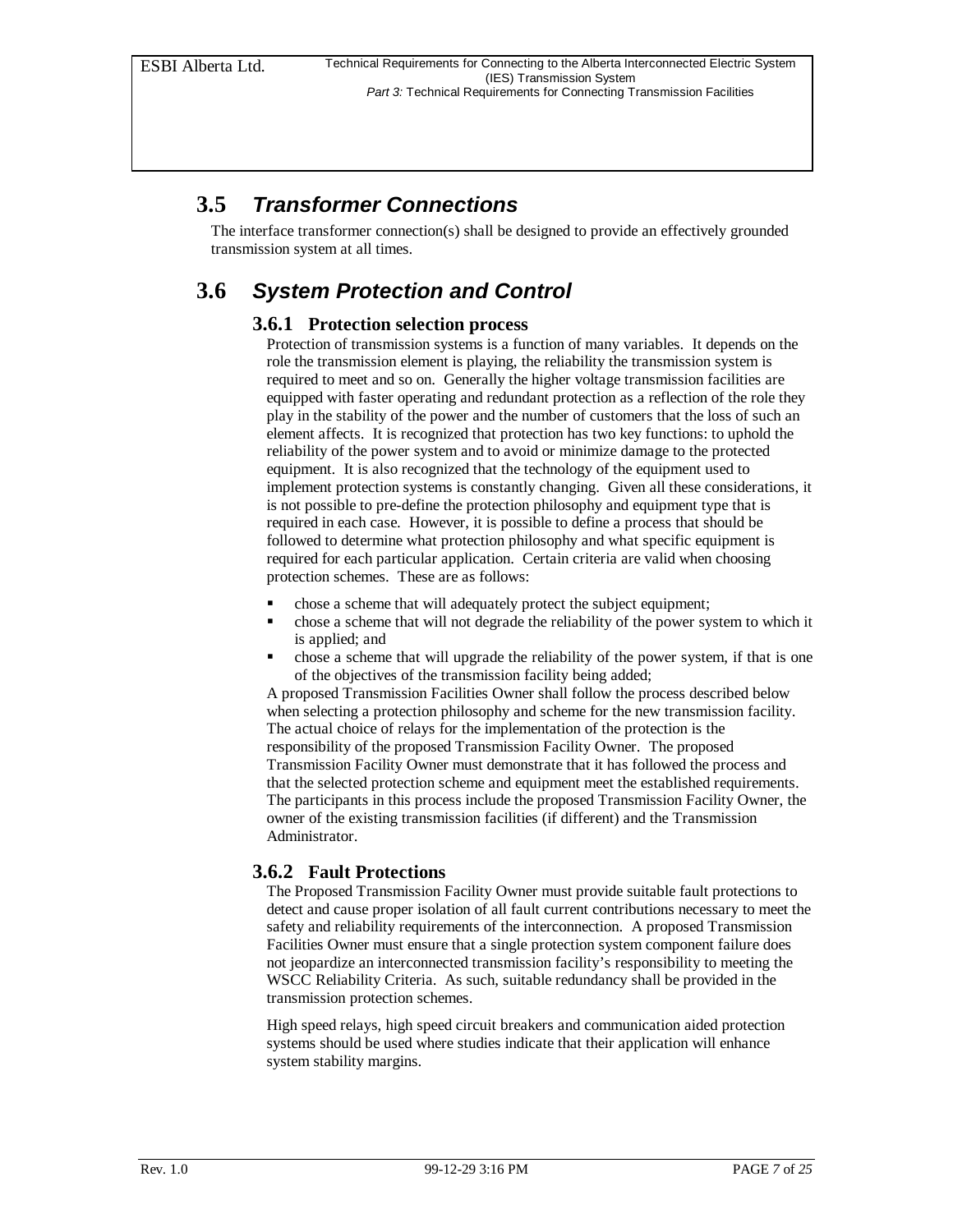### **3.5** *Transformer Connections*

The interface transformer connection(s) shall be designed to provide an effectively grounded transmission system at all times.

### **3.6** *System Protection and Control*

#### **3.6.1 Protection selection process**

Protection of transmission systems is a function of many variables. It depends on the role the transmission element is playing, the reliability the transmission system is required to meet and so on. Generally the higher voltage transmission facilities are equipped with faster operating and redundant protection as a reflection of the role they play in the stability of the power and the number of customers that the loss of such an element affects. It is recognized that protection has two key functions: to uphold the reliability of the power system and to avoid or minimize damage to the protected equipment. It is also recognized that the technology of the equipment used to implement protection systems is constantly changing. Given all these considerations, it is not possible to pre-define the protection philosophy and equipment type that is required in each case. However, it is possible to define a process that should be followed to determine what protection philosophy and what specific equipment is required for each particular application. Certain criteria are valid when choosing protection schemes. These are as follows:

- ß chose a scheme that will adequately protect the subject equipment;
- ß chose a scheme that will not degrade the reliability of the power system to which it is applied; and
- ß chose a scheme that will upgrade the reliability of the power system, if that is one of the objectives of the transmission facility being added;

A proposed Transmission Facilities Owner shall follow the process described below when selecting a protection philosophy and scheme for the new transmission facility. The actual choice of relays for the implementation of the protection is the responsibility of the proposed Transmission Facility Owner. The proposed Transmission Facility Owner must demonstrate that it has followed the process and that the selected protection scheme and equipment meet the established requirements. The participants in this process include the proposed Transmission Facility Owner, the owner of the existing transmission facilities (if different) and the Transmission Administrator.

#### **3.6.2 Fault Protections**

The Proposed Transmission Facility Owner must provide suitable fault protections to detect and cause proper isolation of all fault current contributions necessary to meet the safety and reliability requirements of the interconnection. A proposed Transmission Facilities Owner must ensure that a single protection system component failure does not jeopardize an interconnected transmission facility's responsibility to meeting the WSCC Reliability Criteria. As such, suitable redundancy shall be provided in the transmission protection schemes.

High speed relays, high speed circuit breakers and communication aided protection systems should be used where studies indicate that their application will enhance system stability margins.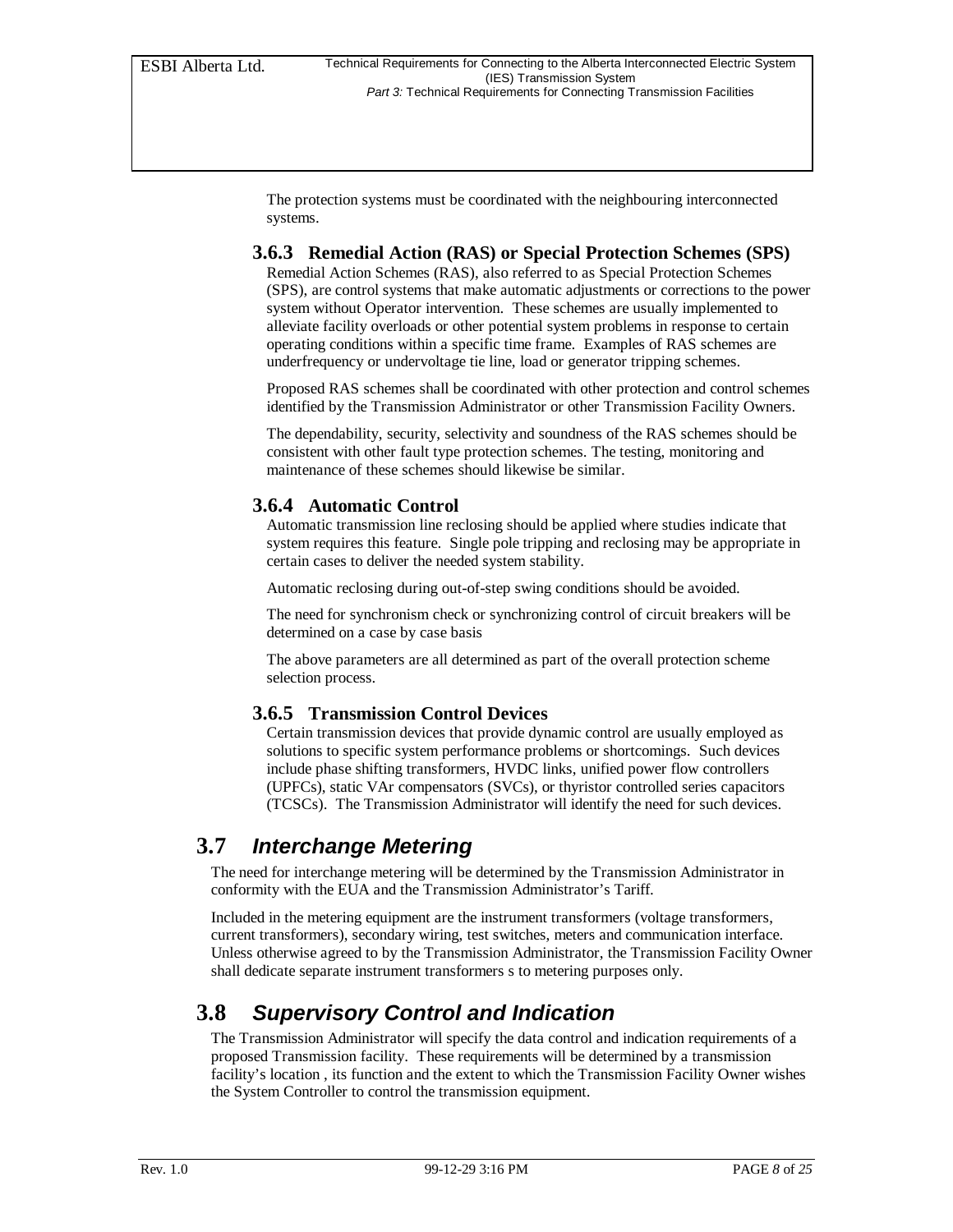The protection systems must be coordinated with the neighbouring interconnected systems.

#### **3.6.3 Remedial Action (RAS) or Special Protection Schemes (SPS)**

Remedial Action Schemes (RAS), also referred to as Special Protection Schemes (SPS), are control systems that make automatic adjustments or corrections to the power system without Operator intervention. These schemes are usually implemented to alleviate facility overloads or other potential system problems in response to certain operating conditions within a specific time frame. Examples of RAS schemes are underfrequency or undervoltage tie line, load or generator tripping schemes.

Proposed RAS schemes shall be coordinated with other protection and control schemes identified by the Transmission Administrator or other Transmission Facility Owners.

The dependability, security, selectivity and soundness of the RAS schemes should be consistent with other fault type protection schemes. The testing, monitoring and maintenance of these schemes should likewise be similar.

#### **3.6.4 Automatic Control**

Automatic transmission line reclosing should be applied where studies indicate that system requires this feature. Single pole tripping and reclosing may be appropriate in certain cases to deliver the needed system stability.

Automatic reclosing during out-of-step swing conditions should be avoided.

The need for synchronism check or synchronizing control of circuit breakers will be determined on a case by case basis

The above parameters are all determined as part of the overall protection scheme selection process.

#### **3.6.5 Transmission Control Devices**

Certain transmission devices that provide dynamic control are usually employed as solutions to specific system performance problems or shortcomings. Such devices include phase shifting transformers, HVDC links, unified power flow controllers (UPFCs), static VAr compensators (SVCs), or thyristor controlled series capacitors (TCSCs). The Transmission Administrator will identify the need for such devices.

### **3.7** *Interchange Metering*

The need for interchange metering will be determined by the Transmission Administrator in conformity with the EUA and the Transmission Administrator's Tariff.

Included in the metering equipment are the instrument transformers (voltage transformers, current transformers), secondary wiring, test switches, meters and communication interface. Unless otherwise agreed to by the Transmission Administrator, the Transmission Facility Owner shall dedicate separate instrument transformers s to metering purposes only.

### **3.8** *Supervisory Control and Indication*

The Transmission Administrator will specify the data control and indication requirements of a proposed Transmission facility. These requirements will be determined by a transmission facility's location , its function and the extent to which the Transmission Facility Owner wishes the System Controller to control the transmission equipment.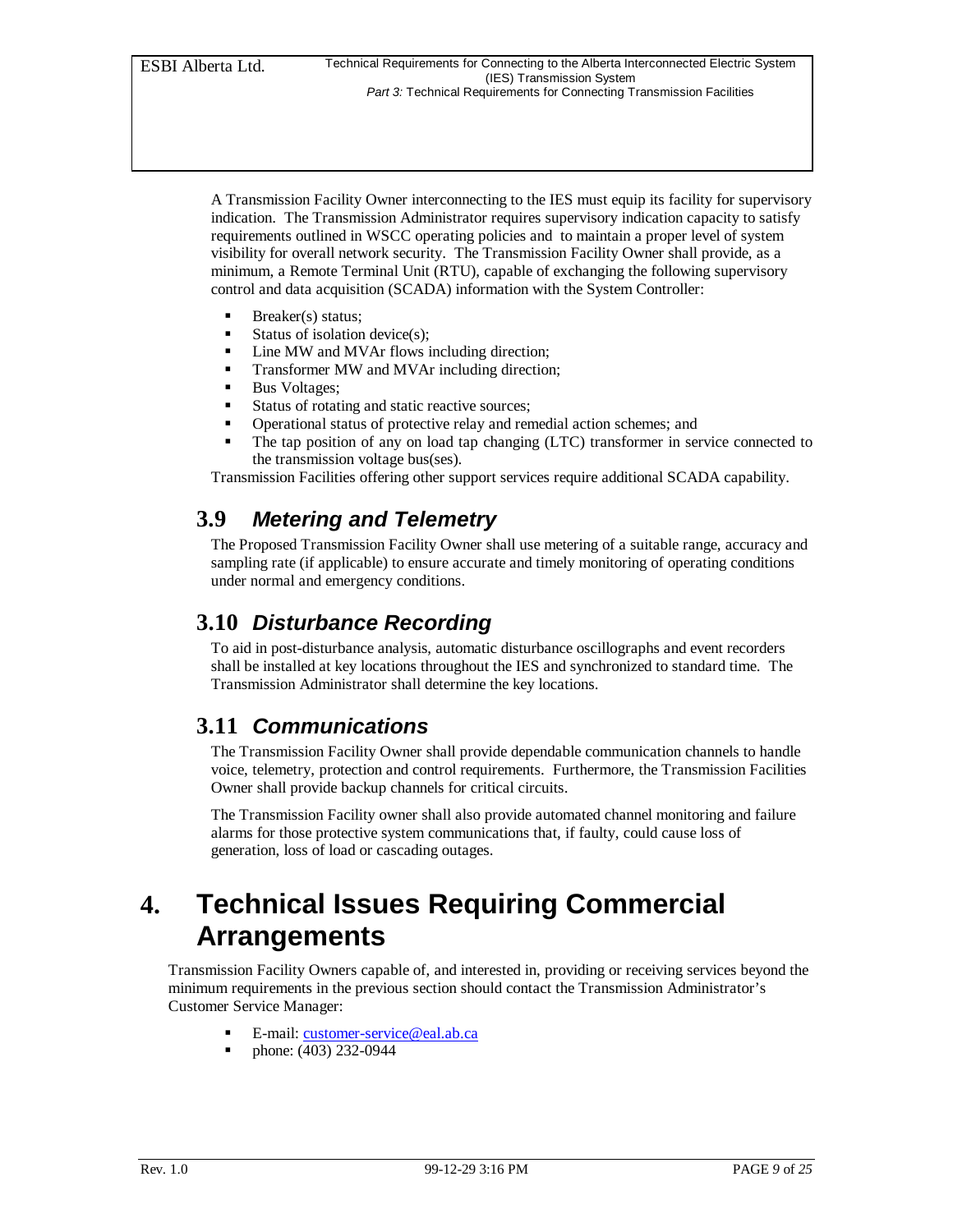A Transmission Facility Owner interconnecting to the IES must equip its facility for supervisory indication. The Transmission Administrator requires supervisory indication capacity to satisfy requirements outlined in WSCC operating policies and to maintain a proper level of system visibility for overall network security. The Transmission Facility Owner shall provide, as a minimum, a Remote Terminal Unit (RTU), capable of exchanging the following supervisory control and data acquisition (SCADA) information with the System Controller:

- Breaker(s) status;
- $\blacksquare$  Status of isolation device(s);
- Line MW and MVAr flows including direction;
- ß Transformer MW and MVAr including direction;
- **Bus Voltages;**
- Status of rotating and static reactive sources;
- ß Operational status of protective relay and remedial action schemes; and
- ß The tap position of any on load tap changing (LTC) transformer in service connected to the transmission voltage bus(ses).

Transmission Facilities offering other support services require additional SCADA capability.

### **3.9** *Metering and Telemetry*

The Proposed Transmission Facility Owner shall use metering of a suitable range, accuracy and sampling rate (if applicable) to ensure accurate and timely monitoring of operating conditions under normal and emergency conditions.

### **3.10** *Disturbance Recording*

To aid in post-disturbance analysis, automatic disturbance oscillographs and event recorders shall be installed at key locations throughout the IES and synchronized to standard time. The Transmission Administrator shall determine the key locations.

### **3.11** *Communications*

The Transmission Facility Owner shall provide dependable communication channels to handle voice, telemetry, protection and control requirements. Furthermore, the Transmission Facilities Owner shall provide backup channels for critical circuits.

The Transmission Facility owner shall also provide automated channel monitoring and failure alarms for those protective system communications that, if faulty, could cause loss of generation, loss of load or cascading outages.

## **4. Technical Issues Requiring Commercial Arrangements**

Transmission Facility Owners capable of, and interested in, providing or receiving services beyond the minimum requirements in the previous section should contact the Transmission Administrator's Customer Service Manager:

- ß E-mail: customer-service@eal.ab.ca
- ß phone: (403) 232-0944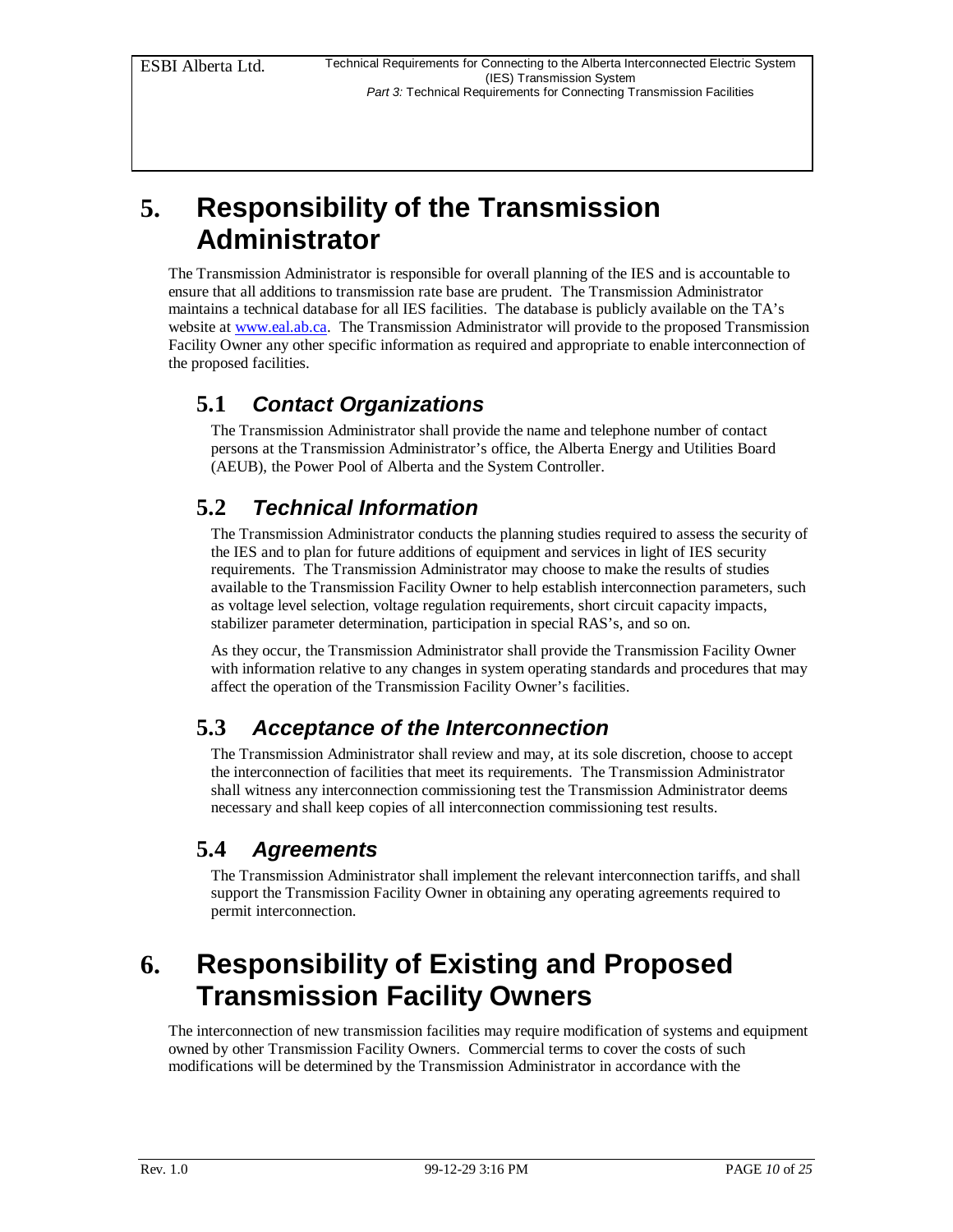## **5. Responsibility of the Transmission Administrator**

The Transmission Administrator is responsible for overall planning of the IES and is accountable to ensure that all additions to transmission rate base are prudent. The Transmission Administrator maintains a technical database for all IES facilities. The database is publicly available on the TA's website at www.eal.ab.ca. The Transmission Administrator will provide to the proposed Transmission Facility Owner any other specific information as required and appropriate to enable interconnection of the proposed facilities.

### **5.1** *Contact Organizations*

The Transmission Administrator shall provide the name and telephone number of contact persons at the Transmission Administrator's office, the Alberta Energy and Utilities Board (AEUB), the Power Pool of Alberta and the System Controller.

### **5.2** *Technical Information*

The Transmission Administrator conducts the planning studies required to assess the security of the IES and to plan for future additions of equipment and services in light of IES security requirements. The Transmission Administrator may choose to make the results of studies available to the Transmission Facility Owner to help establish interconnection parameters, such as voltage level selection, voltage regulation requirements, short circuit capacity impacts, stabilizer parameter determination, participation in special RAS's, and so on.

As they occur, the Transmission Administrator shall provide the Transmission Facility Owner with information relative to any changes in system operating standards and procedures that may affect the operation of the Transmission Facility Owner's facilities.

### **5.3** *Acceptance of the Interconnection*

The Transmission Administrator shall review and may, at its sole discretion, choose to accept the interconnection of facilities that meet its requirements. The Transmission Administrator shall witness any interconnection commissioning test the Transmission Administrator deems necessary and shall keep copies of all interconnection commissioning test results.

### **5.4** *Agreements*

The Transmission Administrator shall implement the relevant interconnection tariffs, and shall support the Transmission Facility Owner in obtaining any operating agreements required to permit interconnection.

## **6. Responsibility of Existing and Proposed Transmission Facility Owners**

The interconnection of new transmission facilities may require modification of systems and equipment owned by other Transmission Facility Owners. Commercial terms to cover the costs of such modifications will be determined by the Transmission Administrator in accordance with the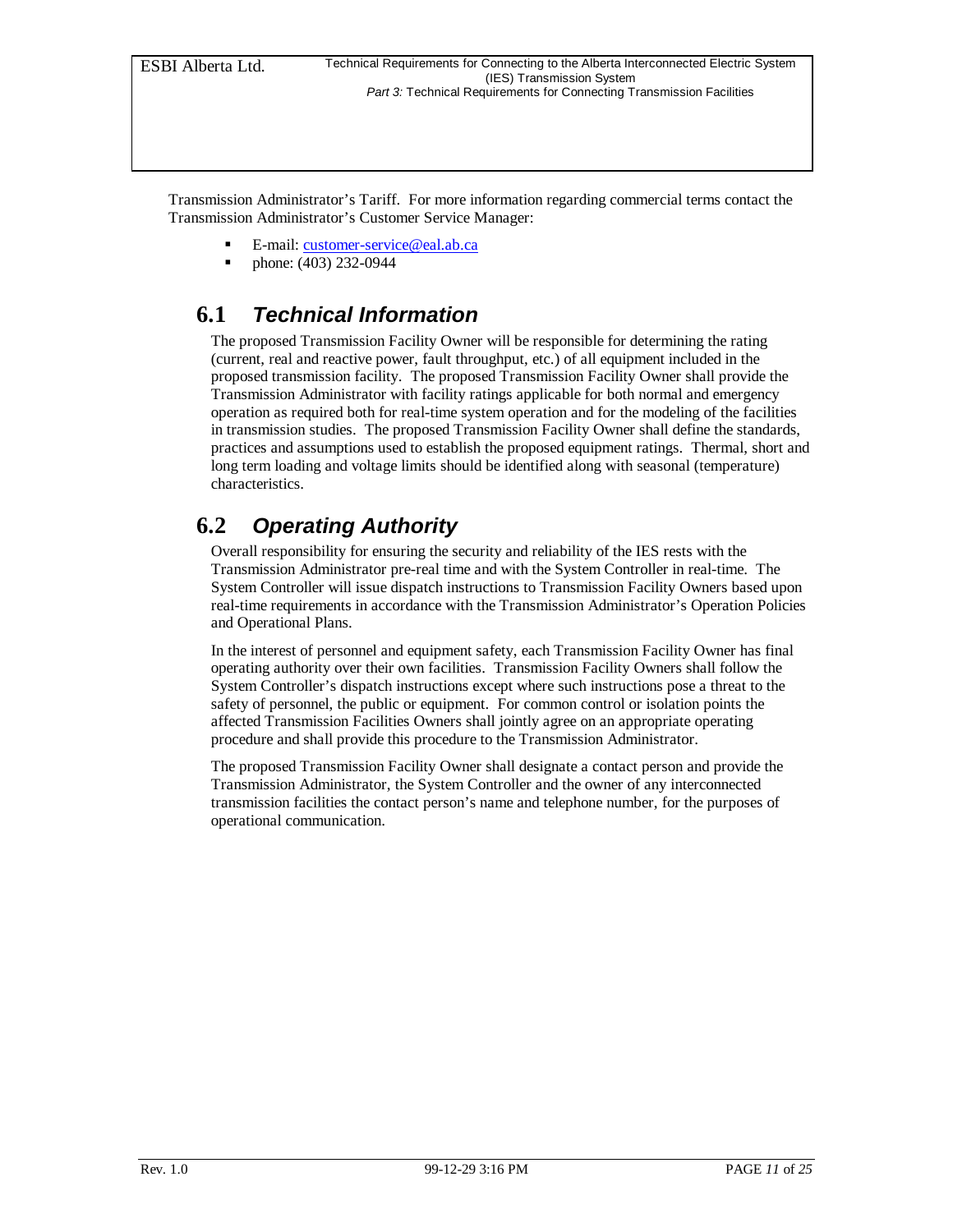Transmission Administrator's Tariff. For more information regarding commercial terms contact the Transmission Administrator's Customer Service Manager:

- ß E-mail: customer-service@eal.ab.ca
- ß phone: (403) 232-0944

### **6.1** *Technical Information*

The proposed Transmission Facility Owner will be responsible for determining the rating (current, real and reactive power, fault throughput, etc.) of all equipment included in the proposed transmission facility. The proposed Transmission Facility Owner shall provide the Transmission Administrator with facility ratings applicable for both normal and emergency operation as required both for real-time system operation and for the modeling of the facilities in transmission studies. The proposed Transmission Facility Owner shall define the standards, practices and assumptions used to establish the proposed equipment ratings. Thermal, short and long term loading and voltage limits should be identified along with seasonal (temperature) characteristics.

### **6.2** *Operating Authority*

Overall responsibility for ensuring the security and reliability of the IES rests with the Transmission Administrator pre-real time and with the System Controller in real-time. The System Controller will issue dispatch instructions to Transmission Facility Owners based upon real-time requirements in accordance with the Transmission Administrator's Operation Policies and Operational Plans.

In the interest of personnel and equipment safety, each Transmission Facility Owner has final operating authority over their own facilities. Transmission Facility Owners shall follow the System Controller's dispatch instructions except where such instructions pose a threat to the safety of personnel, the public or equipment. For common control or isolation points the affected Transmission Facilities Owners shall jointly agree on an appropriate operating procedure and shall provide this procedure to the Transmission Administrator.

The proposed Transmission Facility Owner shall designate a contact person and provide the Transmission Administrator, the System Controller and the owner of any interconnected transmission facilities the contact person's name and telephone number, for the purposes of operational communication.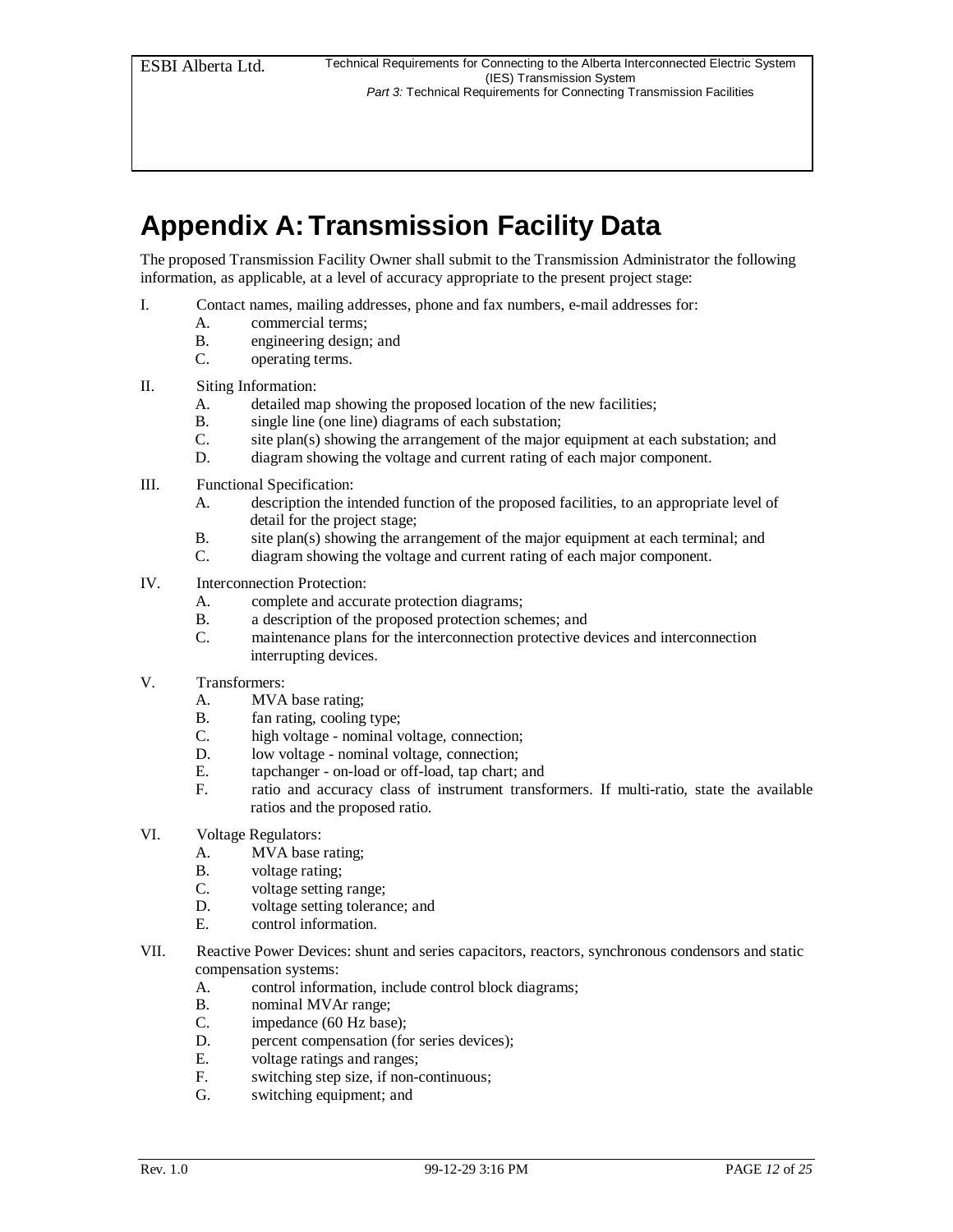## **Appendix A: Transmission Facility Data**

The proposed Transmission Facility Owner shall submit to the Transmission Administrator the following information, as applicable, at a level of accuracy appropriate to the present project stage:

- I. Contact names, mailing addresses, phone and fax numbers, e-mail addresses for:
	- A. commercial terms;
	- B. engineering design; and
	- C. operating terms.
- II. Siting Information:
	- A. detailed map showing the proposed location of the new facilities;
	- B. single line (one line) diagrams of each substation;
	- C. site plan(s) showing the arrangement of the major equipment at each substation; and
	- D. diagram showing the voltage and current rating of each major component.
- III. Functional Specification:
	- A. description the intended function of the proposed facilities, to an appropriate level of detail for the project stage;
	- B. site plan(s) showing the arrangement of the major equipment at each terminal; and
	- C. diagram showing the voltage and current rating of each major component.
- IV. Interconnection Protection:
	- A. complete and accurate protection diagrams;
	- B. a description of the proposed protection schemes; and
	- C. maintenance plans for the interconnection protective devices and interconnection interrupting devices.
- V. Transformers:
	- A. MVA base rating;
	- B. fan rating, cooling type;
	- C. high voltage nominal voltage, connection;
	- D. low voltage nominal voltage, connection;
	- E. tapchanger on-load or off-load, tap chart; and
	- F. ratio and accuracy class of instrument transformers. If multi-ratio, state the available ratios and the proposed ratio.
- VI. Voltage Regulators:
	- A. MVA base rating;
	- B. voltage rating;
	- C. voltage setting range;
	- D. voltage setting tolerance; and
	- E. control information.
- VII. Reactive Power Devices: shunt and series capacitors, reactors, synchronous condensors and static compensation systems:
	- A. control information, include control block diagrams;
	- B. nominal MVAr range;
	- C. impedance (60 Hz base);
	- D. percent compensation (for series devices);
	- E. voltage ratings and ranges;
	- F. switching step size, if non-continuous;
	- G. switching equipment; and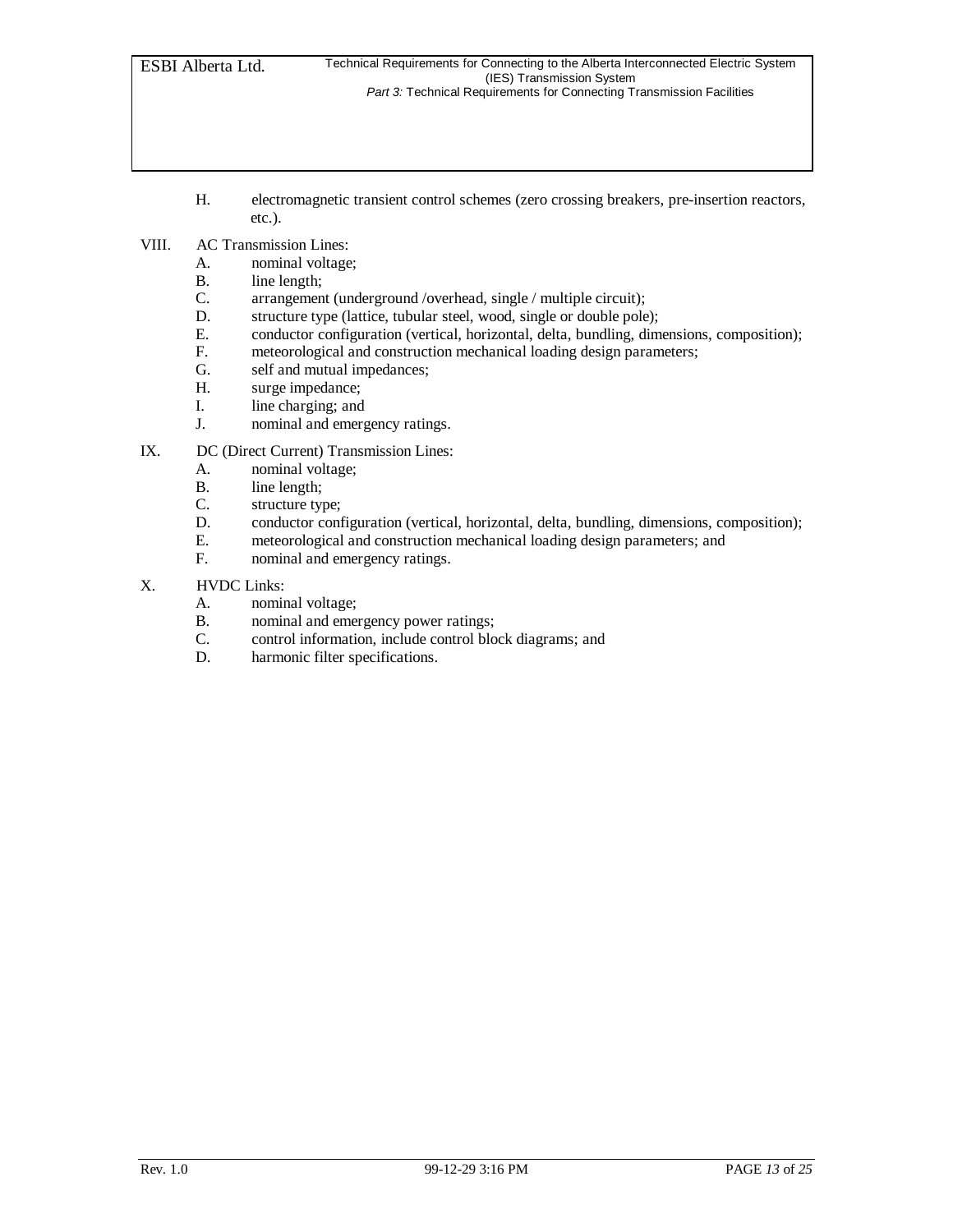- H. electromagnetic transient control schemes (zero crossing breakers, pre-insertion reactors, etc.).
- VIII. AC Transmission Lines:
	- A. nominal voltage;
	- B. line length;
	- C. arrangement (underground /overhead, single / multiple circuit);<br>D. structure type (lattice, tubular steel, wood, single or double pole
	- structure type (lattice, tubular steel, wood, single or double pole);
	- E. conductor configuration (vertical, horizontal, delta, bundling, dimensions, composition);<br>F. meteorological and construction mechanical loading design parameters;
	- meteorological and construction mechanical loading design parameters;
	- G. self and mutual impedances;
	- H. surge impedance;
	- I. line charging; and
	- J. nominal and emergency ratings.

#### IX. DC (Direct Current) Transmission Lines:

- A. nominal voltage;
- 
- B. line length;<br>C. structure types structure type;
- D. conductor configuration (vertical, horizontal, delta, bundling, dimensions, composition);<br>E. meteorological and construction mechanical loading design parameters; and
- meteorological and construction mechanical loading design parameters; and
- F. nominal and emergency ratings.
- X. HVDC Links:
	- A. nominal voltage;
	- B. nominal and emergency power ratings;
	- C. control information, include control block diagrams; and
	- D. harmonic filter specifications.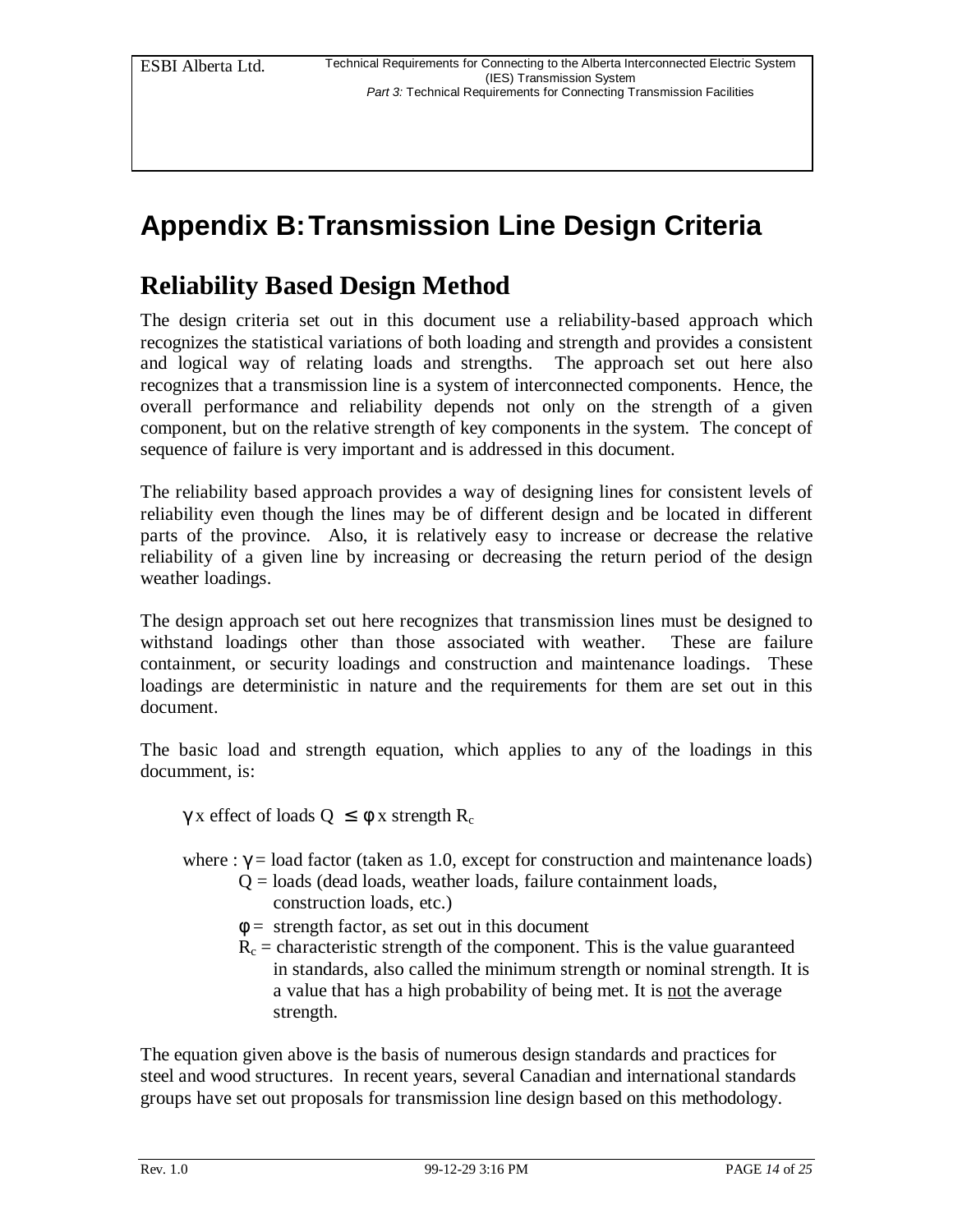# **Appendix B:Transmission Line Design Criteria**

### **Reliability Based Design Method**

The design criteria set out in this document use a reliability-based approach which recognizes the statistical variations of both loading and strength and provides a consistent and logical way of relating loads and strengths. The approach set out here also recognizes that a transmission line is a system of interconnected components. Hence, the overall performance and reliability depends not only on the strength of a given component, but on the relative strength of key components in the system. The concept of sequence of failure is very important and is addressed in this document.

The reliability based approach provides a way of designing lines for consistent levels of reliability even though the lines may be of different design and be located in different parts of the province. Also, it is relatively easy to increase or decrease the relative reliability of a given line by increasing or decreasing the return period of the design weather loadings.

The design approach set out here recognizes that transmission lines must be designed to withstand loadings other than those associated with weather. These are failure containment, or security loadings and construction and maintenance loadings. These loadings are deterministic in nature and the requirements for them are set out in this document.

The basic load and strength equation, which applies to any of the loadings in this documment, is:

γ x effect of loads  $Q \leq \phi$  x strength R<sub>c</sub>

- where :  $\gamma$  = load factor (taken as 1.0, except for construction and maintenance loads)
	- $Q =$ loads (dead loads, weather loads, failure containment loads, construction loads, etc.)
	- $\phi =$  strength factor, as set out in this document
	- $R_c$  = characteristic strength of the component. This is the value guaranteed in standards, also called the minimum strength or nominal strength. It is a value that has a high probability of being met. It is not the average strength.

The equation given above is the basis of numerous design standards and practices for steel and wood structures. In recent years, several Canadian and international standards groups have set out proposals for transmission line design based on this methodology.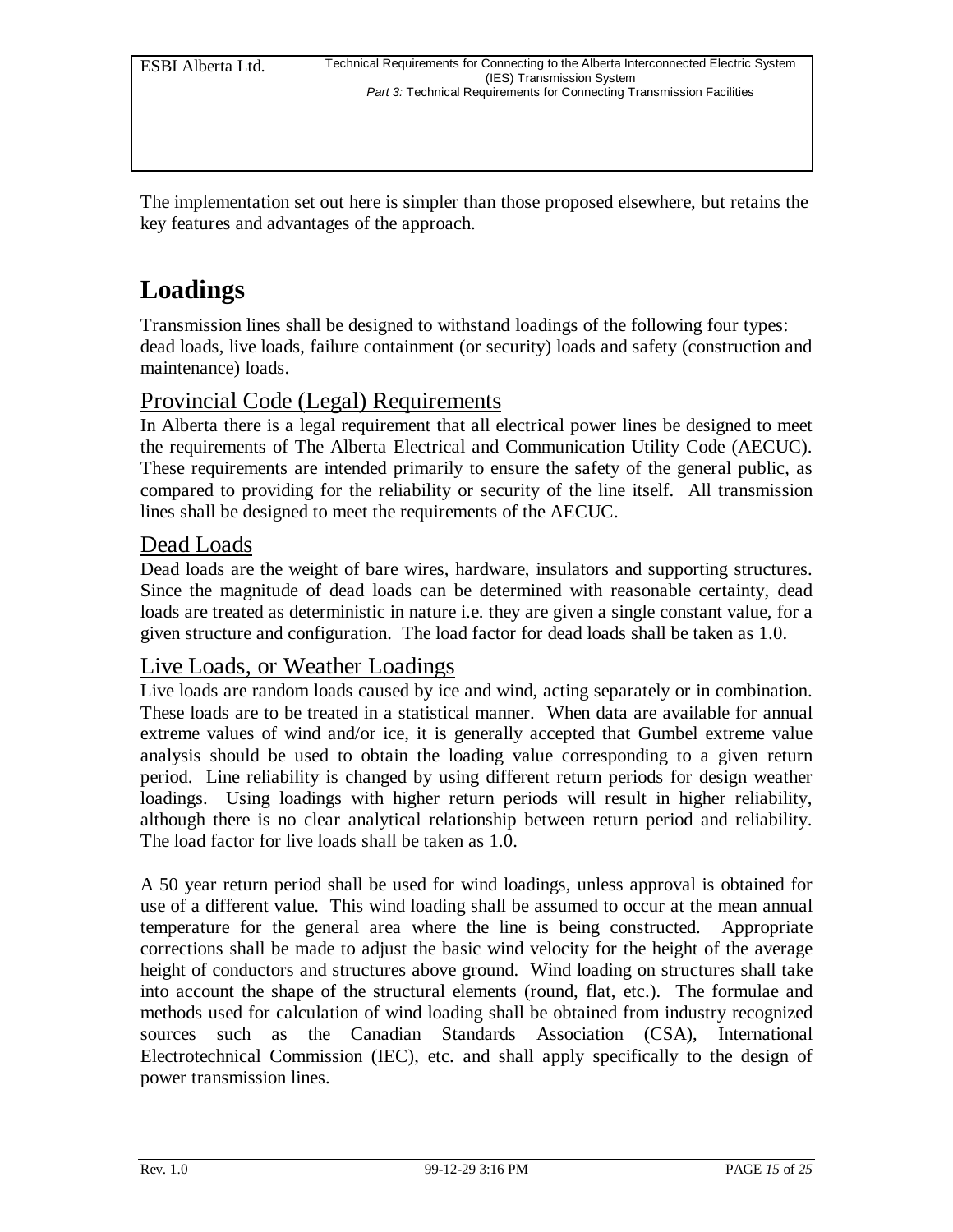The implementation set out here is simpler than those proposed elsewhere, but retains the key features and advantages of the approach.

## **Loadings**

Transmission lines shall be designed to withstand loadings of the following four types: dead loads, live loads, failure containment (or security) loads and safety (construction and maintenance) loads.

### Provincial Code (Legal) Requirements

In Alberta there is a legal requirement that all electrical power lines be designed to meet the requirements of The Alberta Electrical and Communication Utility Code (AECUC). These requirements are intended primarily to ensure the safety of the general public, as compared to providing for the reliability or security of the line itself. All transmission lines shall be designed to meet the requirements of the AECUC.

#### Dead Loads

Dead loads are the weight of bare wires, hardware, insulators and supporting structures. Since the magnitude of dead loads can be determined with reasonable certainty, dead loads are treated as deterministic in nature i.e. they are given a single constant value, for a given structure and configuration. The load factor for dead loads shall be taken as 1.0.

#### Live Loads, or Weather Loadings

Live loads are random loads caused by ice and wind, acting separately or in combination. These loads are to be treated in a statistical manner. When data are available for annual extreme values of wind and/or ice, it is generally accepted that Gumbel extreme value analysis should be used to obtain the loading value corresponding to a given return period. Line reliability is changed by using different return periods for design weather loadings. Using loadings with higher return periods will result in higher reliability, although there is no clear analytical relationship between return period and reliability. The load factor for live loads shall be taken as 1.0.

A 50 year return period shall be used for wind loadings, unless approval is obtained for use of a different value. This wind loading shall be assumed to occur at the mean annual temperature for the general area where the line is being constructed. Appropriate corrections shall be made to adjust the basic wind velocity for the height of the average height of conductors and structures above ground. Wind loading on structures shall take into account the shape of the structural elements (round, flat, etc.). The formulae and methods used for calculation of wind loading shall be obtained from industry recognized sources such as the Canadian Standards Association (CSA), International Electrotechnical Commission (IEC), etc. and shall apply specifically to the design of power transmission lines.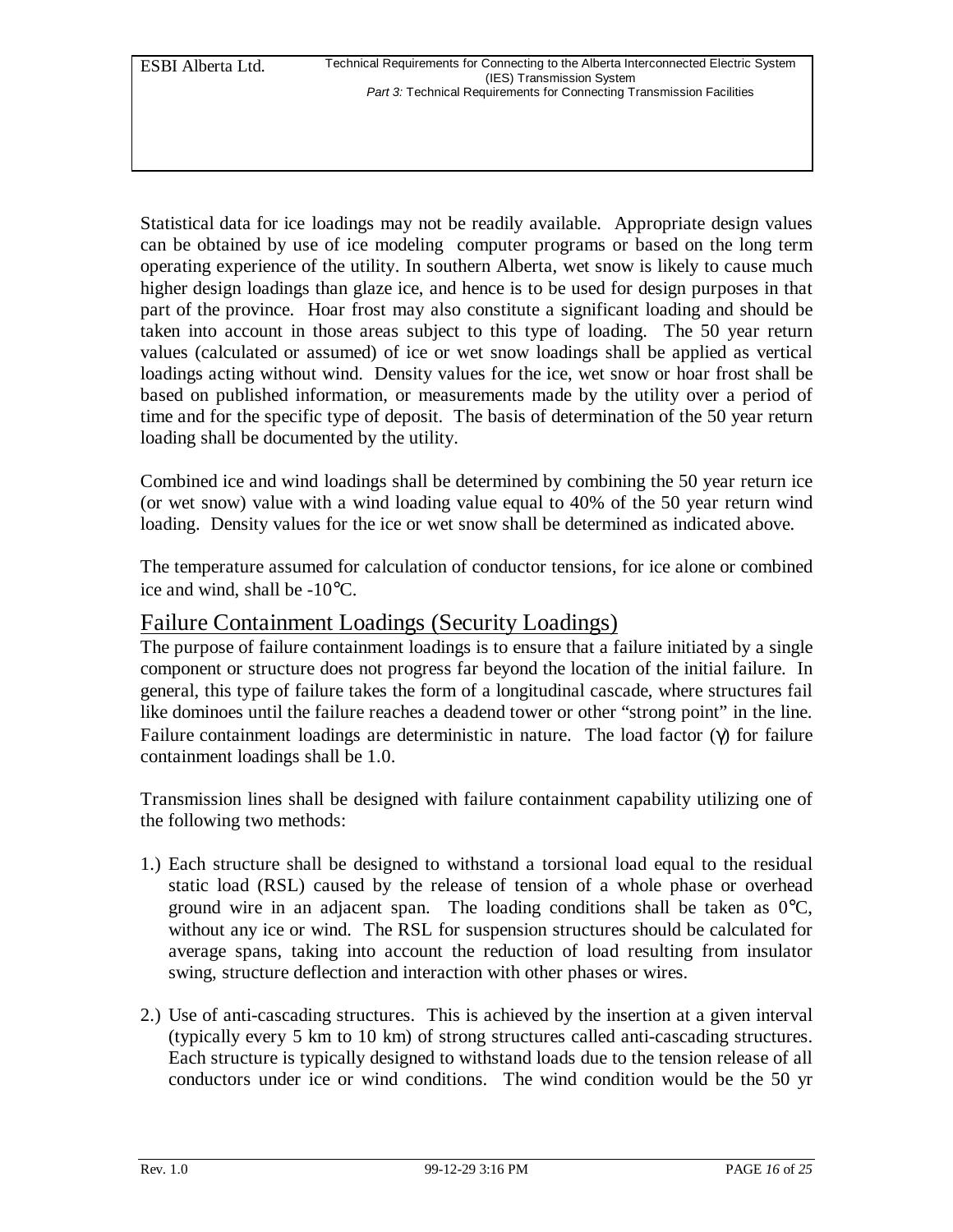Statistical data for ice loadings may not be readily available. Appropriate design values can be obtained by use of ice modeling computer programs or based on the long term operating experience of the utility. In southern Alberta, wet snow is likely to cause much higher design loadings than glaze ice, and hence is to be used for design purposes in that part of the province. Hoar frost may also constitute a significant loading and should be taken into account in those areas subject to this type of loading. The 50 year return values (calculated or assumed) of ice or wet snow loadings shall be applied as vertical loadings acting without wind. Density values for the ice, wet snow or hoar frost shall be based on published information, or measurements made by the utility over a period of time and for the specific type of deposit. The basis of determination of the 50 year return loading shall be documented by the utility.

Combined ice and wind loadings shall be determined by combining the 50 year return ice (or wet snow) value with a wind loading value equal to 40% of the 50 year return wind loading. Density values for the ice or wet snow shall be determined as indicated above.

The temperature assumed for calculation of conductor tensions, for ice alone or combined ice and wind, shall be -10°C.

### Failure Containment Loadings (Security Loadings)

The purpose of failure containment loadings is to ensure that a failure initiated by a single component or structure does not progress far beyond the location of the initial failure. In general, this type of failure takes the form of a longitudinal cascade, where structures fail like dominoes until the failure reaches a deadend tower or other "strong point" in the line. Failure containment loadings are deterministic in nature. The load factor  $(\gamma)$  for failure containment loadings shall be 1.0.

Transmission lines shall be designed with failure containment capability utilizing one of the following two methods:

- 1.) Each structure shall be designed to withstand a torsional load equal to the residual static load (RSL) caused by the release of tension of a whole phase or overhead ground wire in an adjacent span. The loading conditions shall be taken as  $0^{\circ}C$ , without any ice or wind. The RSL for suspension structures should be calculated for average spans, taking into account the reduction of load resulting from insulator swing, structure deflection and interaction with other phases or wires.
- 2.) Use of anti-cascading structures. This is achieved by the insertion at a given interval (typically every 5 km to 10 km) of strong structures called anti-cascading structures. Each structure is typically designed to withstand loads due to the tension release of all conductors under ice or wind conditions. The wind condition would be the 50 yr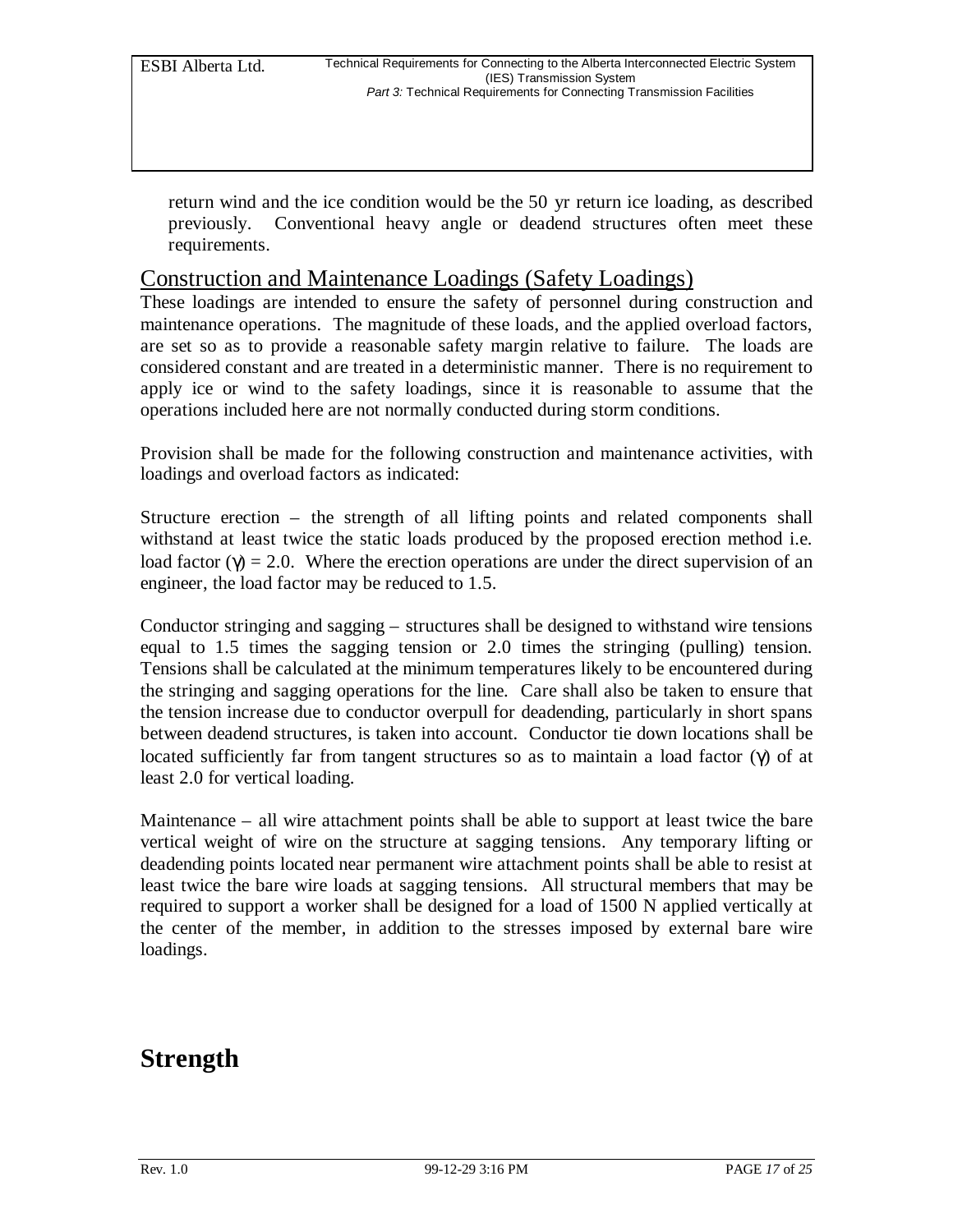return wind and the ice condition would be the 50 yr return ice loading, as described previously. Conventional heavy angle or deadend structures often meet these requirements.

#### Construction and Maintenance Loadings (Safety Loadings)

These loadings are intended to ensure the safety of personnel during construction and maintenance operations. The magnitude of these loads, and the applied overload factors, are set so as to provide a reasonable safety margin relative to failure. The loads are considered constant and are treated in a deterministic manner. There is no requirement to apply ice or wind to the safety loadings, since it is reasonable to assume that the operations included here are not normally conducted during storm conditions.

Provision shall be made for the following construction and maintenance activities, with loadings and overload factors as indicated:

Structure erection – the strength of all lifting points and related components shall withstand at least twice the static loads produced by the proposed erection method i.e. load factor ( $\gamma$ ) = 2.0. Where the erection operations are under the direct supervision of an engineer, the load factor may be reduced to 1.5.

Conductor stringing and sagging – structures shall be designed to withstand wire tensions equal to 1.5 times the sagging tension or 2.0 times the stringing (pulling) tension. Tensions shall be calculated at the minimum temperatures likely to be encountered during the stringing and sagging operations for the line. Care shall also be taken to ensure that the tension increase due to conductor overpull for deadending, particularly in short spans between deadend structures, is taken into account. Conductor tie down locations shall be located sufficiently far from tangent structures so as to maintain a load factor (γ) of at least 2.0 for vertical loading.

Maintenance – all wire attachment points shall be able to support at least twice the bare vertical weight of wire on the structure at sagging tensions. Any temporary lifting or deadending points located near permanent wire attachment points shall be able to resist at least twice the bare wire loads at sagging tensions. All structural members that may be required to support a worker shall be designed for a load of 1500 N applied vertically at the center of the member, in addition to the stresses imposed by external bare wire loadings.

### **Strength**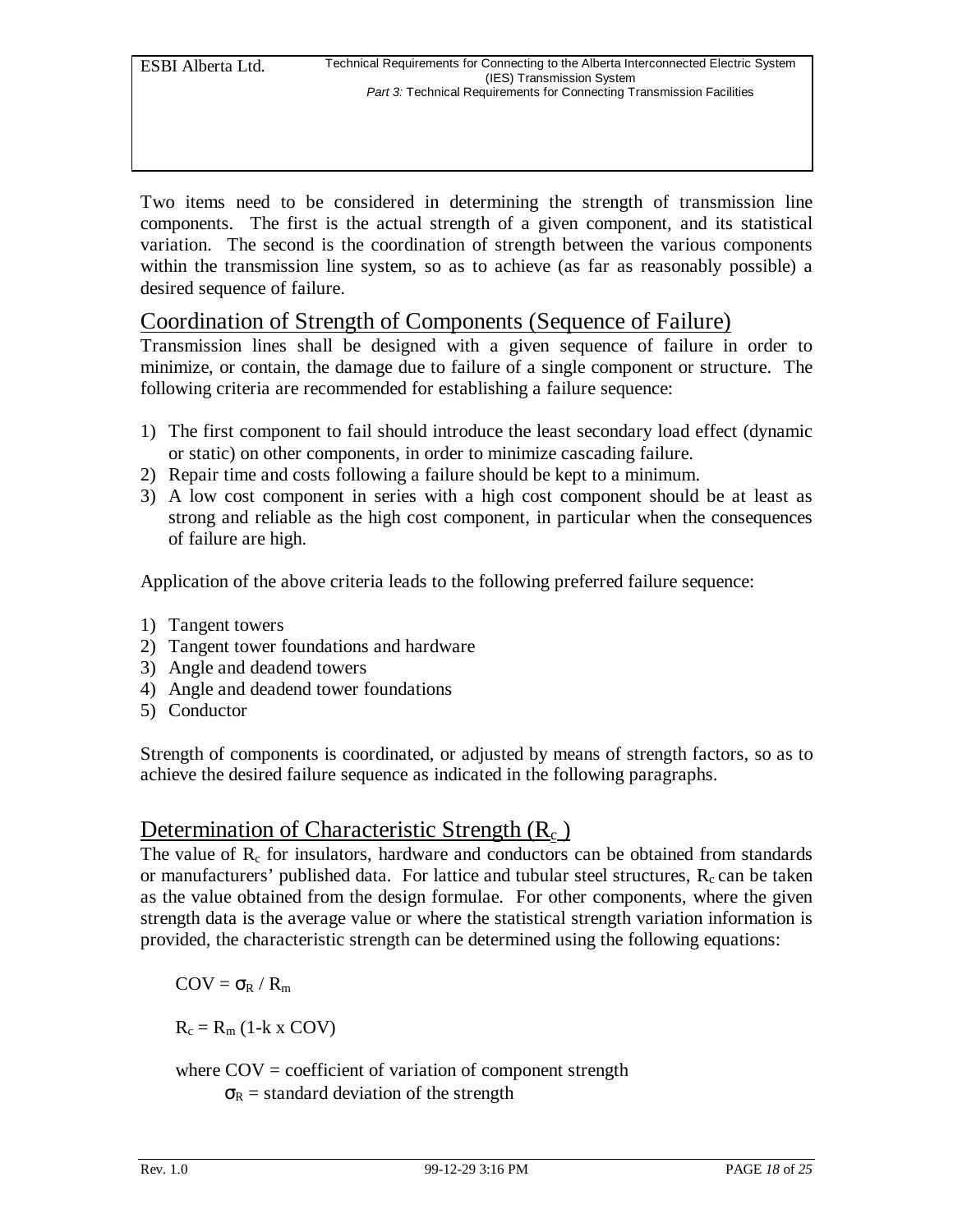Two items need to be considered in determining the strength of transmission line components. The first is the actual strength of a given component, and its statistical variation. The second is the coordination of strength between the various components within the transmission line system, so as to achieve (as far as reasonably possible) a desired sequence of failure.

### Coordination of Strength of Components (Sequence of Failure)

Transmission lines shall be designed with a given sequence of failure in order to minimize, or contain, the damage due to failure of a single component or structure. The following criteria are recommended for establishing a failure sequence:

- 1) The first component to fail should introduce the least secondary load effect (dynamic or static) on other components, in order to minimize cascading failure.
- 2) Repair time and costs following a failure should be kept to a minimum.
- 3) A low cost component in series with a high cost component should be at least as strong and reliable as the high cost component, in particular when the consequences of failure are high.

Application of the above criteria leads to the following preferred failure sequence:

- 1) Tangent towers
- 2) Tangent tower foundations and hardware
- 3) Angle and deadend towers
- 4) Angle and deadend tower foundations
- 5) Conductor

Strength of components is coordinated, or adjusted by means of strength factors, so as to achieve the desired failure sequence as indicated in the following paragraphs.

### Determination of Characteristic Strength  $(R_c)$

The value of  $R_c$  for insulators, hardware and conductors can be obtained from standards or manufacturers' published data. For lattice and tubular steel structures,  $R_c$  can be taken as the value obtained from the design formulae. For other components, where the given strength data is the average value or where the statistical strength variation information is provided, the characteristic strength can be determined using the following equations:

 $COV = \sigma_R / R_m$ 

 $R_c = R_m$  (1-k x COV)

where  $COV =$  coefficient of variation of component strength

 $\sigma_R$  = standard deviation of the strength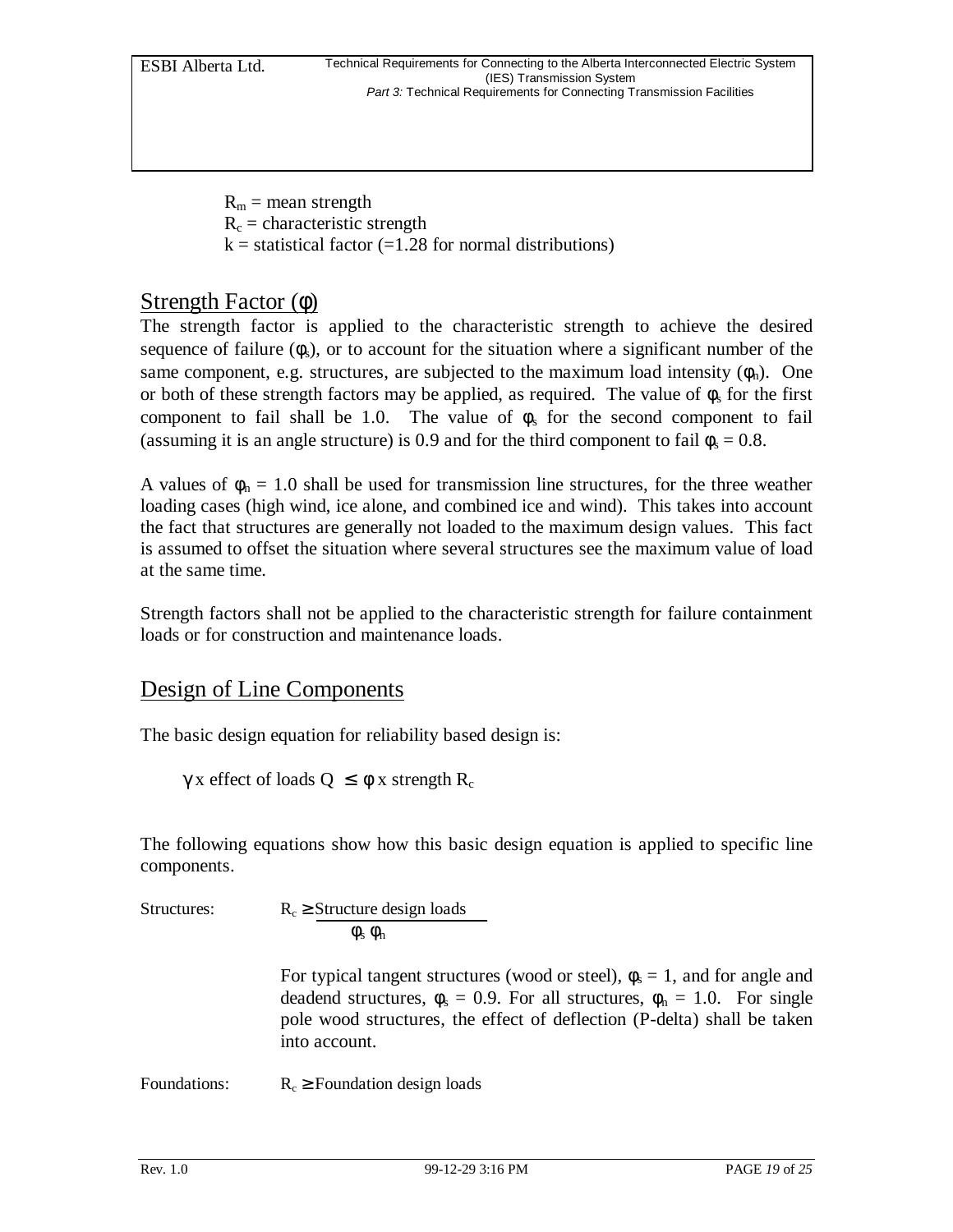$R_m$  = mean strength  $R_c$  = characteristic strength  $k =$  statistical factor (=1.28 for normal distributions)

### Strength Factor (φ)

The strength factor is applied to the characteristic strength to achieve the desired sequence of failure  $(\phi_s)$ , or to account for the situation where a significant number of the same component, e.g. structures, are subjected to the maximum load intensity  $(\phi_n)$ . One or both of these strength factors may be applied, as required. The value of  $\phi_s$  for the first component to fail shall be 1.0. The value of  $\phi_s$  for the second component to fail (assuming it is an angle structure) is 0.9 and for the third component to fail  $\phi_s = 0.8$ .

A values of  $\phi_n = 1.0$  shall be used for transmission line structures, for the three weather loading cases (high wind, ice alone, and combined ice and wind). This takes into account the fact that structures are generally not loaded to the maximum design values. This fact is assumed to offset the situation where several structures see the maximum value of load at the same time.

Strength factors shall not be applied to the characteristic strength for failure containment loads or for construction and maintenance loads.

### Design of Line Components

The basic design equation for reliability based design is:

γ x effect of loads  $Q \leq \phi$  x strength R<sub>c</sub>

The following equations show how this basic design equation is applied to specific line components.

| Structures: | $R_c \geq$ Structure design loads       |
|-------------|-----------------------------------------|
|             | $\phi$ <sub>s</sub> $\phi$ <sub>n</sub> |

For typical tangent structures (wood or steel),  $\phi_s = 1$ , and for angle and deadend structures,  $\phi_s = 0.9$ . For all structures,  $\phi_n = 1.0$ . For single pole wood structures, the effect of deflection (P-delta) shall be taken into account.

Foundations:  $R_c \geq$  Foundation design loads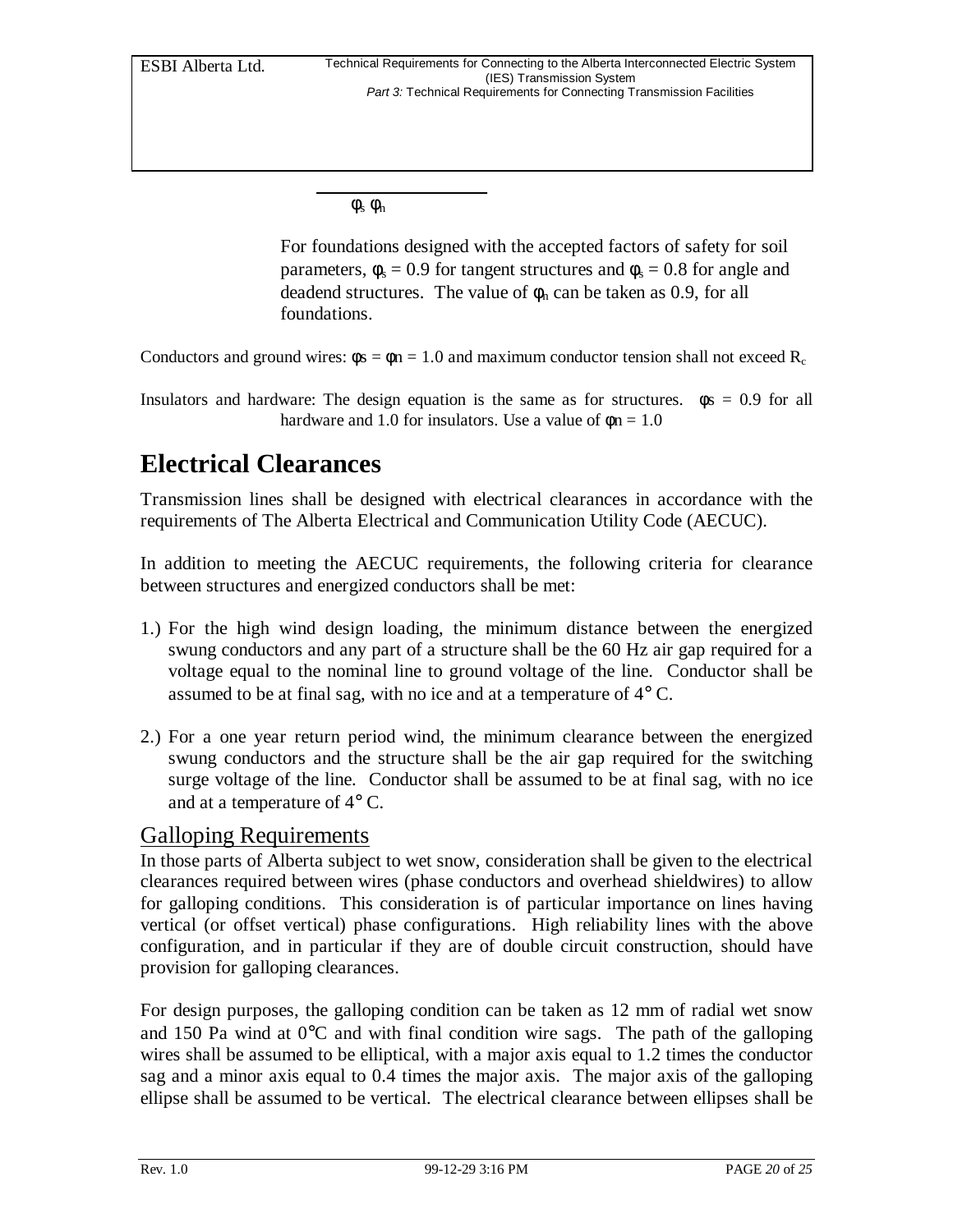$φ<sub>s</sub> φ<sub>n</sub>$ 

For foundations designed with the accepted factors of safety for soil parameters,  $\phi_s = 0.9$  for tangent structures and  $\phi_s = 0.8$  for angle and deadend structures. The value of  $\phi_n$  can be taken as 0.9, for all foundations.

Conductors and ground wires:  $\phi s = \phi n = 1.0$  and maximum conductor tension shall not exceed R<sub>c</sub>

### **Electrical Clearances**

Transmission lines shall be designed with electrical clearances in accordance with the requirements of The Alberta Electrical and Communication Utility Code (AECUC).

In addition to meeting the AECUC requirements, the following criteria for clearance between structures and energized conductors shall be met:

- 1.) For the high wind design loading, the minimum distance between the energized swung conductors and any part of a structure shall be the 60 Hz air gap required for a voltage equal to the nominal line to ground voltage of the line. Conductor shall be assumed to be at final sag, with no ice and at a temperature of 4° C.
- 2.) For a one year return period wind, the minimum clearance between the energized swung conductors and the structure shall be the air gap required for the switching surge voltage of the line. Conductor shall be assumed to be at final sag, with no ice and at a temperature of 4° C.

### Galloping Requirements

In those parts of Alberta subject to wet snow, consideration shall be given to the electrical clearances required between wires (phase conductors and overhead shieldwires) to allow for galloping conditions. This consideration is of particular importance on lines having vertical (or offset vertical) phase configurations. High reliability lines with the above configuration, and in particular if they are of double circuit construction, should have provision for galloping clearances.

For design purposes, the galloping condition can be taken as 12 mm of radial wet snow and 150 Pa wind at  $0^{\circ}$ C and with final condition wire sags. The path of the galloping wires shall be assumed to be elliptical, with a major axis equal to 1.2 times the conductor sag and a minor axis equal to 0.4 times the major axis. The major axis of the galloping ellipse shall be assumed to be vertical. The electrical clearance between ellipses shall be

Insulators and hardware: The design equation is the same as for structures.  $\phi s = 0.9$  for all hardware and 1.0 for insulators. Use a value of  $\phi$ n = 1.0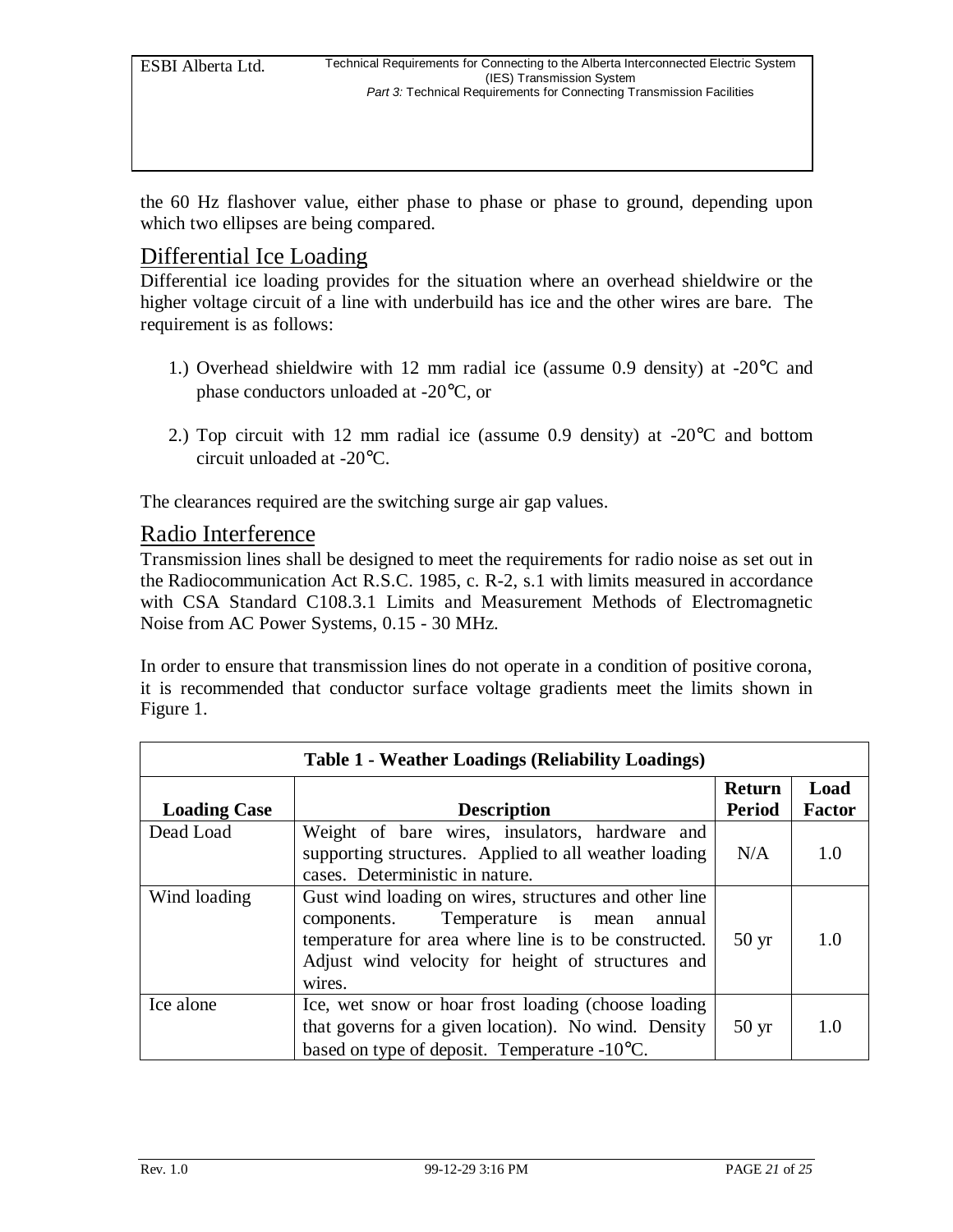the 60 Hz flashover value, either phase to phase or phase to ground, depending upon which two ellipses are being compared.

#### Differential Ice Loading

Differential ice loading provides for the situation where an overhead shieldwire or the higher voltage circuit of a line with underbuild has ice and the other wires are bare. The requirement is as follows:

- 1.) Overhead shieldwire with 12 mm radial ice (assume 0.9 density) at -20°C and phase conductors unloaded at -20°C, or
- 2.) Top circuit with 12 mm radial ice (assume 0.9 density) at -20°C and bottom circuit unloaded at -20°C.

The clearances required are the switching surge air gap values.

#### Radio Interference

Transmission lines shall be designed to meet the requirements for radio noise as set out in the Radiocommunication Act R.S.C. 1985, c. R-2, s.1 with limits measured in accordance with CSA Standard C108.3.1 Limits and Measurement Methods of Electromagnetic Noise from AC Power Systems, 0.15 - 30 MHz.

In order to ensure that transmission lines do not operate in a condition of positive corona, it is recommended that conductor surface voltage gradients meet the limits shown in Figure 1.

| <b>Table 1 - Weather Loadings (Reliability Loadings)</b> |                                                                                                                                                                                                                               |                                |                       |  |
|----------------------------------------------------------|-------------------------------------------------------------------------------------------------------------------------------------------------------------------------------------------------------------------------------|--------------------------------|-----------------------|--|
| <b>Loading Case</b>                                      | <b>Description</b>                                                                                                                                                                                                            | <b>Return</b><br><b>Period</b> | Load<br><b>Factor</b> |  |
| Dead Load                                                | Weight of bare wires, insulators, hardware and<br>supporting structures. Applied to all weather loading<br>cases. Deterministic in nature.                                                                                    | N/A                            | 1.0                   |  |
| Wind loading                                             | Gust wind loading on wires, structures and other line<br>Temperature is mean<br>components.<br>annual<br>temperature for area where line is to be constructed.<br>Adjust wind velocity for height of structures and<br>wires. | $50 \,\mathrm{yr}$             | 1.0                   |  |
| Ice alone                                                | Ice, wet snow or hoar frost loading (choose loading)<br>that governs for a given location). No wind. Density<br>based on type of deposit. Temperature -10°C.                                                                  | $50 \text{ yr}$                | 1.0                   |  |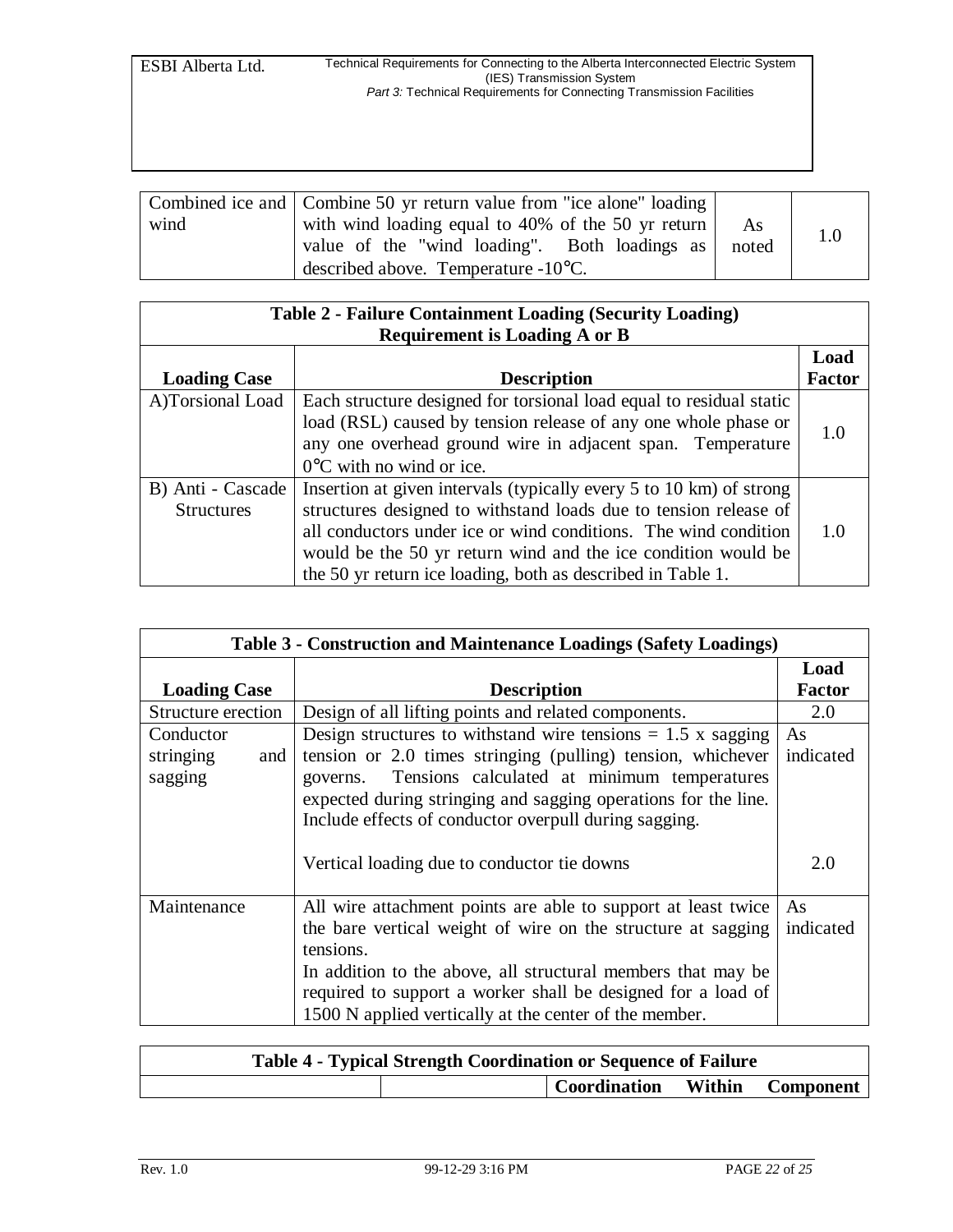| wind | Combined ice and Combine 50 yr return value from "ice alone" loading<br>with wind loading equal to 40% of the 50 yr return<br>value of the "wind loading". Both loadings as<br>described above. Temperature $-10^{\circ}$ C. | As<br>noted | 1.0 |
|------|------------------------------------------------------------------------------------------------------------------------------------------------------------------------------------------------------------------------------|-------------|-----|
|------|------------------------------------------------------------------------------------------------------------------------------------------------------------------------------------------------------------------------------|-------------|-----|

| <b>Table 2 - Failure Containment Loading (Security Loading)</b><br><b>Requirement is Loading A or B</b> |                                                                                                                                                                                                                                                                                                                                            |               |  |  |
|---------------------------------------------------------------------------------------------------------|--------------------------------------------------------------------------------------------------------------------------------------------------------------------------------------------------------------------------------------------------------------------------------------------------------------------------------------------|---------------|--|--|
|                                                                                                         |                                                                                                                                                                                                                                                                                                                                            | Load          |  |  |
| <b>Loading Case</b>                                                                                     | <b>Description</b>                                                                                                                                                                                                                                                                                                                         | <b>Factor</b> |  |  |
| A)Torsional Load                                                                                        | Each structure designed for torsional load equal to residual static<br>load (RSL) caused by tension release of any one whole phase or<br>any one overhead ground wire in adjacent span. Temperature<br>$0^{\circ}$ C with no wind or ice.                                                                                                  | 1.0           |  |  |
| B) Anti - Cascade<br><b>Structures</b>                                                                  | Insertion at given intervals (typically every 5 to 10 km) of strong<br>structures designed to withstand loads due to tension release of<br>all conductors under ice or wind conditions. The wind condition<br>would be the 50 yr return wind and the ice condition would be<br>the 50 yr return ice loading, both as described in Table 1. | 1.0           |  |  |

| Table 3 - Construction and Maintenance Loadings (Safety Loadings) |                                                                                                                                                                                        |               |  |
|-------------------------------------------------------------------|----------------------------------------------------------------------------------------------------------------------------------------------------------------------------------------|---------------|--|
|                                                                   |                                                                                                                                                                                        | Load          |  |
| <b>Loading Case</b>                                               | <b>Description</b>                                                                                                                                                                     | <b>Factor</b> |  |
| Structure erection                                                | Design of all lifting points and related components.                                                                                                                                   | 2.0           |  |
| Conductor                                                         | Design structures to withstand wire tensions $= 1.5$ x sagging                                                                                                                         | As            |  |
| stringing<br>and                                                  | tension or 2.0 times stringing (pulling) tension, whichever                                                                                                                            | indicated     |  |
| sagging                                                           | Tensions calculated at minimum temperatures<br>governs.                                                                                                                                |               |  |
|                                                                   | expected during stringing and sagging operations for the line.                                                                                                                         |               |  |
|                                                                   | Include effects of conductor overpull during sagging.                                                                                                                                  |               |  |
|                                                                   | Vertical loading due to conductor tie downs                                                                                                                                            | 2.0           |  |
| Maintenance                                                       | All wire attachment points are able to support at least twice                                                                                                                          | As.           |  |
|                                                                   | the bare vertical weight of wire on the structure at sagging<br>tensions.                                                                                                              | indicated     |  |
|                                                                   | In addition to the above, all structural members that may be<br>required to support a worker shall be designed for a load of<br>1500 N applied vertically at the center of the member. |               |  |

| <b>Table 4 - Typical Strength Coordination or Sequence of Failure</b> |  |                               |  |  |
|-----------------------------------------------------------------------|--|-------------------------------|--|--|
|                                                                       |  | Coordination Within Component |  |  |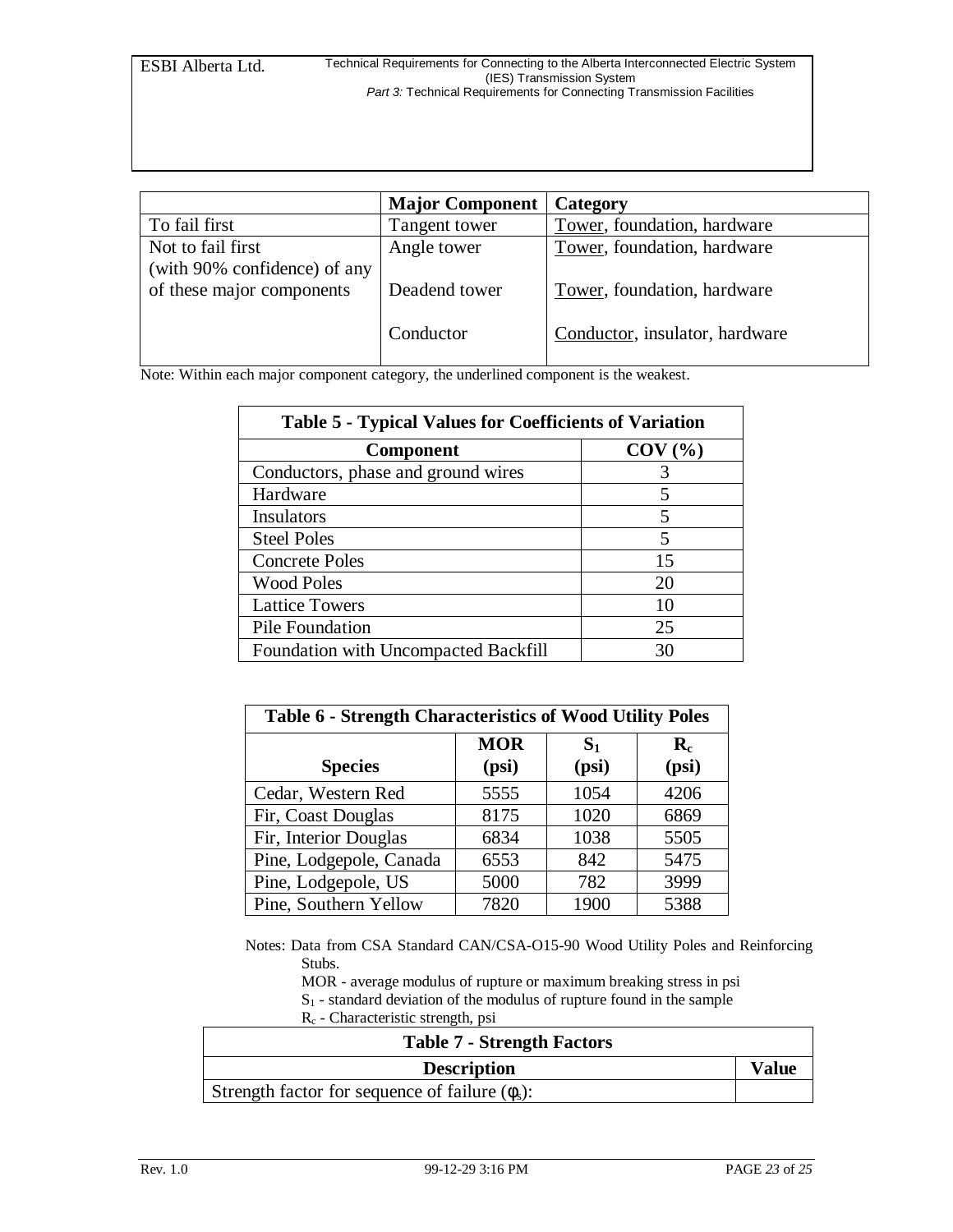|                                                           | <b>Major Component</b> | Category                       |
|-----------------------------------------------------------|------------------------|--------------------------------|
| To fail first                                             | Tangent tower          | Tower, foundation, hardware    |
| Not to fail first                                         | Angle tower            | Tower, foundation, hardware    |
| (with 90% confidence) of any<br>of these major components | Deadend tower          | Tower, foundation, hardware    |
|                                                           | Conductor              | Conductor, insulator, hardware |

Note: Within each major component category, the underlined component is the weakest.

| <b>Table 5 - Typical Values for Coefficients of Variation</b> |           |  |  |
|---------------------------------------------------------------|-----------|--|--|
| <b>Component</b>                                              | $COV$ $%$ |  |  |
| Conductors, phase and ground wires                            |           |  |  |
| Hardware                                                      |           |  |  |
| Insulators                                                    |           |  |  |
| <b>Steel Poles</b>                                            | 5         |  |  |
| <b>Concrete Poles</b>                                         | 15        |  |  |
| <b>Wood Poles</b>                                             | 20        |  |  |
| <b>Lattice Towers</b>                                         |           |  |  |
| Pile Foundation                                               | 25        |  |  |
| Foundation with Uncompacted Backfill                          | 31        |  |  |

| <b>Table 6 - Strength Characteristics of Wood Utility Poles</b> |            |                |                      |  |
|-----------------------------------------------------------------|------------|----------------|----------------------|--|
|                                                                 | <b>MOR</b> | S <sub>1</sub> | $\mathbf{R}_{\rm c}$ |  |
| <b>Species</b>                                                  | (psi)      | (psi)          | (psi)                |  |
| Cedar, Western Red                                              | 5555       | 1054           | 4206                 |  |
| Fir, Coast Douglas                                              | 8175       | 1020           | 6869                 |  |
| Fir, Interior Douglas                                           | 6834       | 1038           | 5505                 |  |
| Pine, Lodgepole, Canada                                         | 6553       | 842            | 5475                 |  |
| Pine, Lodgepole, US                                             | 5000       | 782            | 3999                 |  |
| Pine, Southern Yellow                                           | 7820       | 1900           | 5388                 |  |

Notes: Data from CSA Standard CAN/CSA-O15-90 Wood Utility Poles and Reinforcing Stubs.

MOR - average modulus of rupture or maximum breaking stress in psi  $S<sub>1</sub>$  - standard deviation of the modulus of rupture found in the sample

Rc - Characteristic strength, psi

| <b>Table 7 - Strength Factors</b>                    |              |
|------------------------------------------------------|--------------|
| <b>Description</b>                                   | <b>Value</b> |
| Strength factor for sequence of failure $(\phi_s)$ : |              |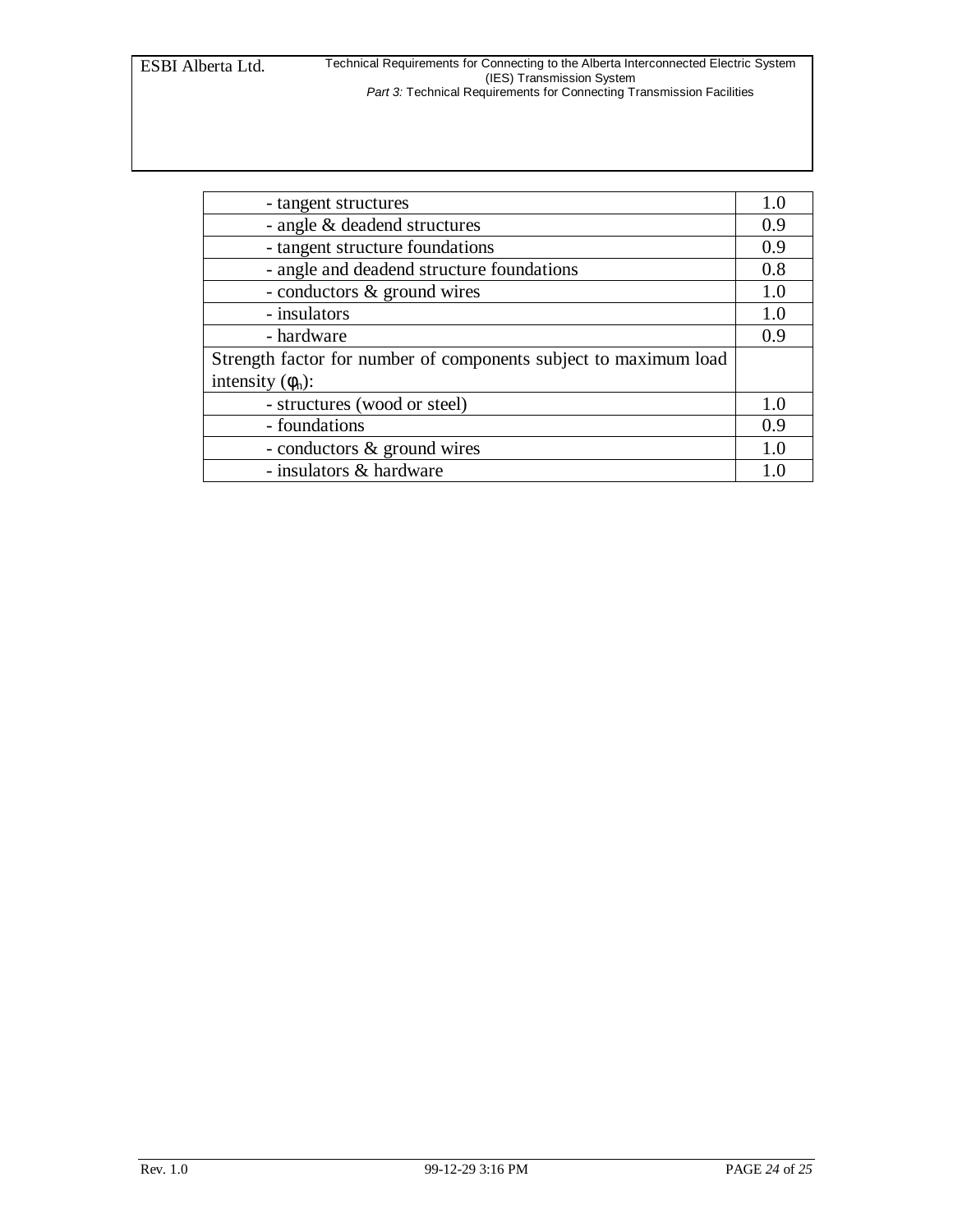| - tangent structures                                             | 1.0 |  |
|------------------------------------------------------------------|-----|--|
| - angle & deadend structures                                     |     |  |
| - tangent structure foundations                                  | 0.9 |  |
| - angle and deadend structure foundations                        |     |  |
| - conductors & ground wires                                      | 1.0 |  |
| - insulators                                                     | 1.0 |  |
| - hardware                                                       | 0.9 |  |
| Strength factor for number of components subject to maximum load |     |  |
| intensity $(\phi_n)$ :                                           |     |  |
| - structures (wood or steel)                                     | 1.0 |  |
| - foundations                                                    | 0.9 |  |
| - conductors & ground wires                                      | 10  |  |
| - insulators & hardware                                          |     |  |